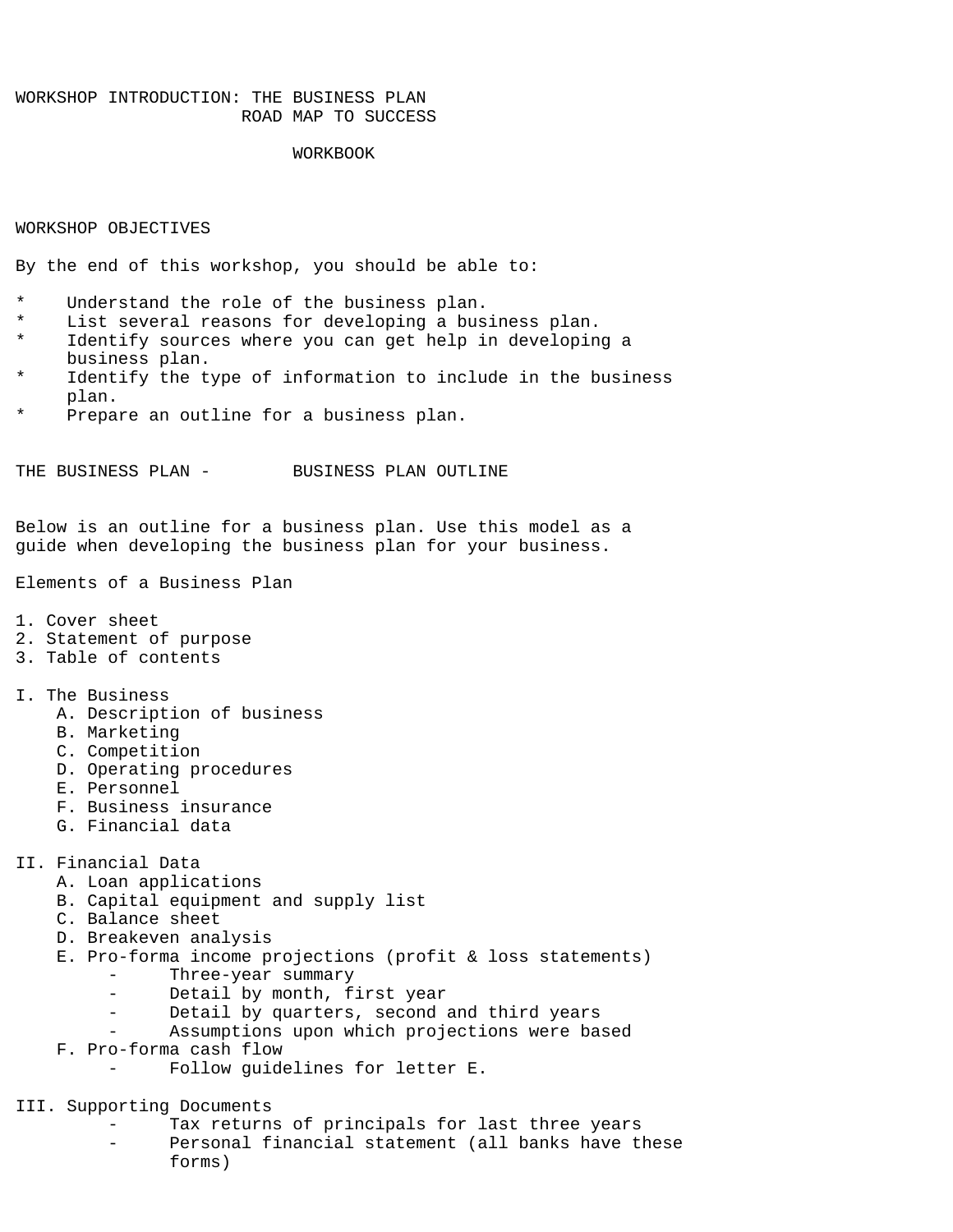# WORKSHOP INTRODUCTION: THE BUSINESS PLAN ROAD MAP TO SUCCESS

#### WORKBOOK

#### WORKSHOP OBJECTIVES

By the end of this workshop, you should be able to:

- \* Understand the role of the business plan.
- \* List several reasons for developing a business plan.
- \* Identify sources where you can get help in developing a business plan.
- Identify the type of information to include in the business plan.
- Prepare an outline for a business plan.

THE BUSINESS PLAN - BUSINESS PLAN OUTLINE

Below is an outline for a business plan. Use this model as a guide when developing the business plan for your business.

Elements of a Business Plan

- 1. Cover sheet
- 2. Statement of purpose
- 3. Table of contents

# I. The Business

- A. Description of business
- B. Marketing
- C. Competition
- D. Operating procedures
- E. Personnel
- F. Business insurance
- G. Financial data
- II. Financial Data
	- A. Loan applications
	- B. Capital equipment and supply list
	- C. Balance sheet
	- D. Breakeven analysis
	- E. Pro-forma income projections (profit & loss statements)
		- Three-year summary
			- Detail by month, first year
		- Detail by quarters, second and third years
		- Assumptions upon which projections were based
	- F. Pro-forma cash flow
		- Follow guidelines for letter E.
- III. Supporting Documents
	- Tax returns of principals for last three years
	- Personal financial statement (all banks have these forms)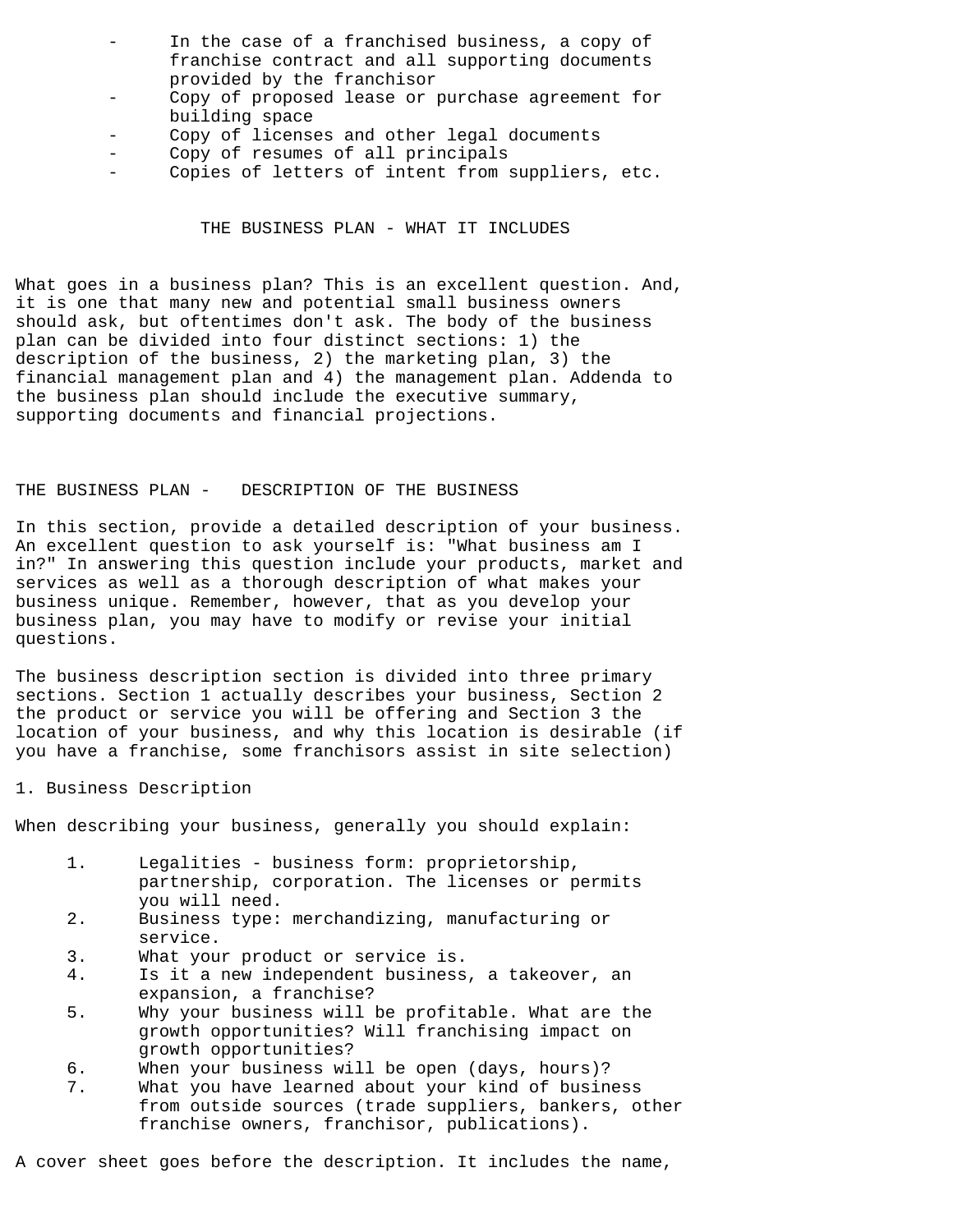- In the case of a franchised business, a copy of franchise contract and all supporting documents provided by the franchisor
- Copy of proposed lease or purchase agreement for building space
- Copy of licenses and other legal documents
- Copy of resumes of all principals
- Copies of letters of intent from suppliers, etc.

THE BUSINESS PLAN - WHAT IT INCLUDES

What goes in a business plan? This is an excellent question. And, it is one that many new and potential small business owners should ask, but oftentimes don't ask. The body of the business plan can be divided into four distinct sections: 1) the description of the business, 2) the marketing plan, 3) the financial management plan and 4) the management plan. Addenda to the business plan should include the executive summary, supporting documents and financial projections.

# THE BUSINESS PLAN - DESCRIPTION OF THE BUSINESS

In this section, provide a detailed description of your business. An excellent question to ask yourself is: "What business am I in?" In answering this question include your products, market and services as well as a thorough description of what makes your business unique. Remember, however, that as you develop your business plan, you may have to modify or revise your initial questions.

The business description section is divided into three primary sections. Section 1 actually describes your business, Section 2 the product or service you will be offering and Section 3 the location of your business, and why this location is desirable (if you have a franchise, some franchisors assist in site selection)

#### 1. Business Description

When describing your business, generally you should explain:

- 1. Legalities business form: proprietorship, partnership, corporation. The licenses or permits you will need.
- 2. Business type: merchandizing, manufacturing or service.
- 3. What your product or service is.
- 4. Is it a new independent business, a takeover, an expansion, a franchise?
- 5. Why your business will be profitable. What are the growth opportunities? Will franchising impact on growth opportunities?
- 6. When your business will be open (days, hours)?
- 7. What you have learned about your kind of business from outside sources (trade suppliers, bankers, other franchise owners, franchisor, publications).

A cover sheet goes before the description. It includes the name,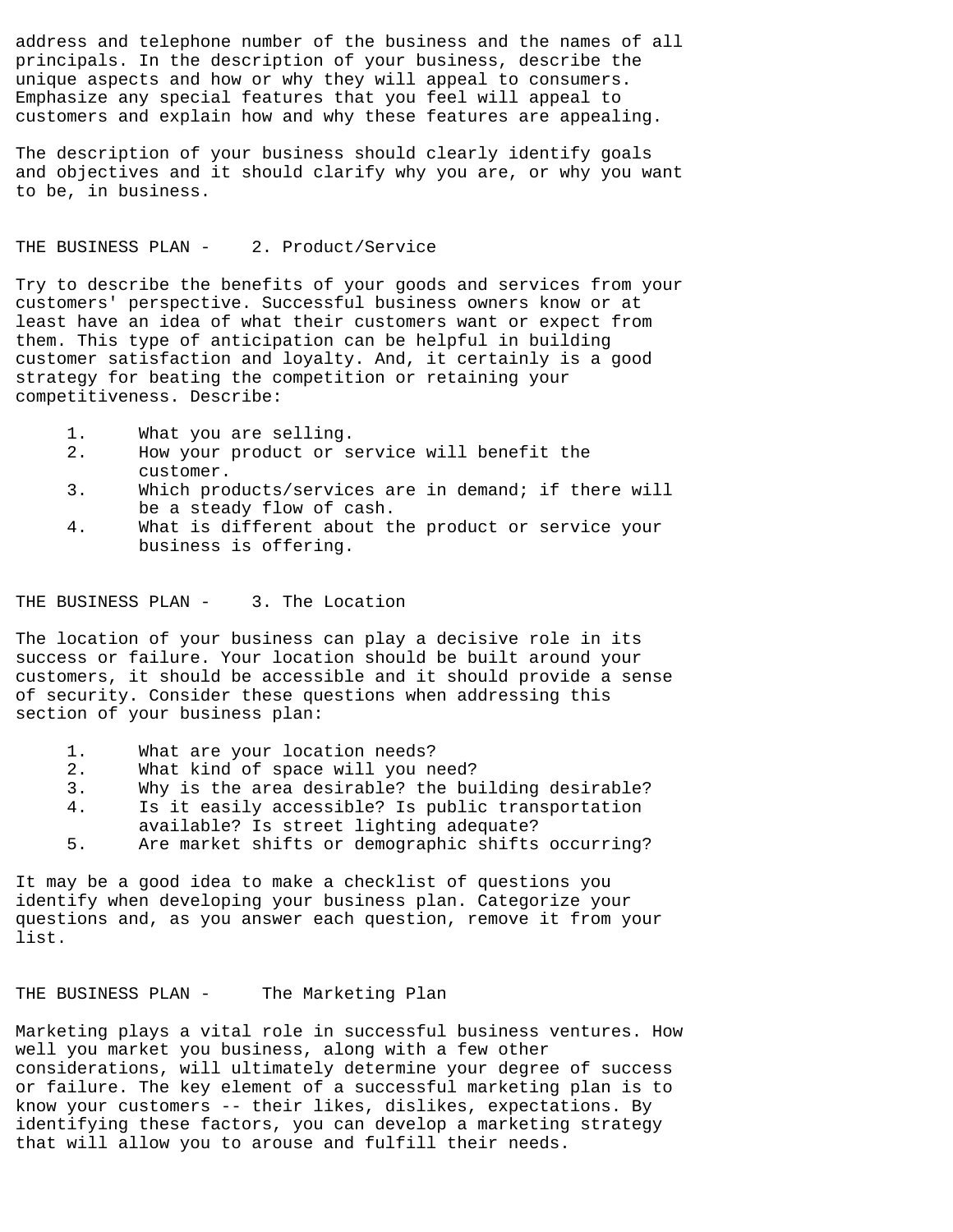address and telephone number of the business and the names of all principals. In the description of your business, describe the unique aspects and how or why they will appeal to consumers. Emphasize any special features that you feel will appeal to customers and explain how and why these features are appealing.

The description of your business should clearly identify goals and objectives and it should clarify why you are, or why you want to be, in business.

# THE BUSINESS PLAN - 2. Product/Service

Try to describe the benefits of your goods and services from your customers' perspective. Successful business owners know or at least have an idea of what their customers want or expect from them. This type of anticipation can be helpful in building customer satisfaction and loyalty. And, it certainly is a good strategy for beating the competition or retaining your competitiveness. Describe:

- 1. What you are selling.
- 2. How your product or service will benefit the customer.
- 3. Which products/services are in demand; if there will be a steady flow of cash.
- 4. What is different about the product or service your business is offering.

#### THE BUSINESS PLAN - 3. The Location

The location of your business can play a decisive role in its success or failure. Your location should be built around your customers, it should be accessible and it should provide a sense of security. Consider these questions when addressing this section of your business plan:

- 1. What are your location needs?
- 2. What kind of space will you need?
- 3. Why is the area desirable? the building desirable?
- 4. Is it easily accessible? Is public transportation available? Is street lighting adequate?
- 5. Are market shifts or demographic shifts occurring?

It may be a good idea to make a checklist of questions you identify when developing your business plan. Categorize your questions and, as you answer each question, remove it from your list.

### THE BUSINESS PLAN - The Marketing Plan

Marketing plays a vital role in successful business ventures. How well you market you business, along with a few other considerations, will ultimately determine your degree of success or failure. The key element of a successful marketing plan is to know your customers -- their likes, dislikes, expectations. By identifying these factors, you can develop a marketing strategy that will allow you to arouse and fulfill their needs.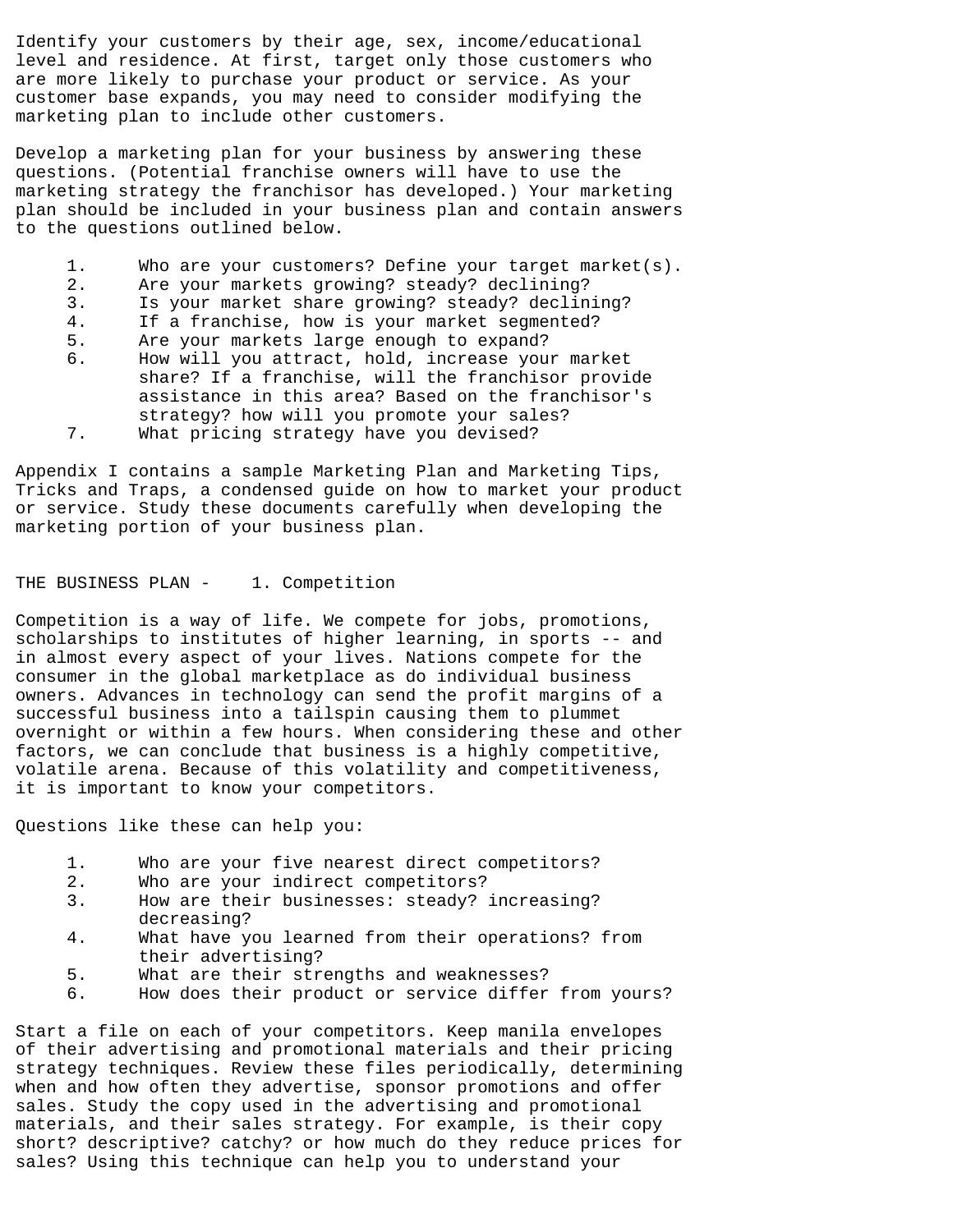Identify your customers by their age, sex, income/educational level and residence. At first, target only those customers who are more likely to purchase your product or service. As your customer base expands, you may need to consider modifying the marketing plan to include other customers.

Develop a marketing plan for your business by answering these questions. (Potential franchise owners will have to use the marketing strategy the franchisor has developed.) Your marketing plan should be included in your business plan and contain answers to the questions outlined below.

- 1. Who are your customers? Define your target market(s).
- 2. Are your markets growing? steady? declining?
- 3. Is your market share growing? steady? declining?
- 4. If a franchise, how is your market segmented?
- 5. Are your markets large enough to expand?
- 6. How will you attract, hold, increase your market share? If a franchise, will the franchisor provide assistance in this area? Based on the franchisor's strategy? how will you promote your sales? 7. What pricing strategy have you devised?
- 

Appendix I contains a sample Marketing Plan and Marketing Tips, Tricks and Traps, a condensed guide on how to market your product or service. Study these documents carefully when developing the marketing portion of your business plan.

THE BUSINESS PLAN - 1. Competition

Competition is a way of life. We compete for jobs, promotions, scholarships to institutes of higher learning, in sports -- and in almost every aspect of your lives. Nations compete for the consumer in the global marketplace as do individual business owners. Advances in technology can send the profit margins of a successful business into a tailspin causing them to plummet overnight or within a few hours. When considering these and other factors, we can conclude that business is a highly competitive, volatile arena. Because of this volatility and competitiveness, it is important to know your competitors.

Questions like these can help you:

- 1. Who are your five nearest direct competitors?
- 2. Who are your indirect competitors?
- 3. How are their businesses: steady? increasing? decreasing?
- 4. What have you learned from their operations? from their advertising?
- 5. What are their strengths and weaknesses?
- 6. How does their product or service differ from yours?

Start a file on each of your competitors. Keep manila envelopes of their advertising and promotional materials and their pricing strategy techniques. Review these files periodically, determining when and how often they advertise, sponsor promotions and offer sales. Study the copy used in the advertising and promotional materials, and their sales strategy. For example, is their copy short? descriptive? catchy? or how much do they reduce prices for sales? Using this technique can help you to understand your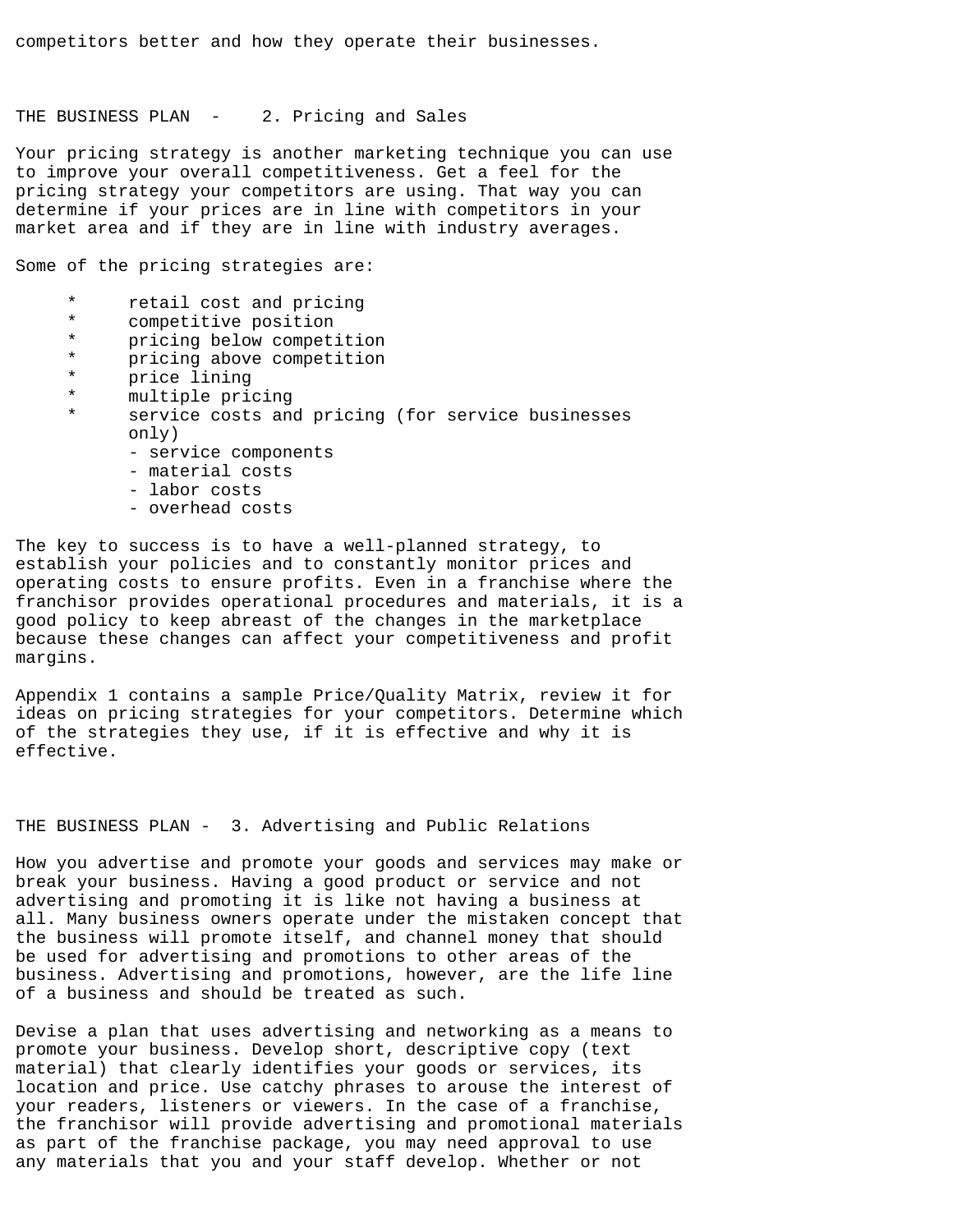competitors better and how they operate their businesses.

#### THE BUSINESS PLAN - 2. Pricing and Sales

Your pricing strategy is another marketing technique you can use to improve your overall competitiveness. Get a feel for the pricing strategy your competitors are using. That way you can determine if your prices are in line with competitors in your market area and if they are in line with industry averages.

Some of the pricing strategies are:

- \* retail cost and pricing
- \* competitive position
- \* pricing below competition
- \* pricing above competition
- price lining
- \* multiple pricing
- \* service costs and pricing (for service businesses only)
	- service components
	- material costs
	- labor costs
	- overhead costs

The key to success is to have a well-planned strategy, to establish your policies and to constantly monitor prices and operating costs to ensure profits. Even in a franchise where the franchisor provides operational procedures and materials, it is a good policy to keep abreast of the changes in the marketplace because these changes can affect your competitiveness and profit margins.

Appendix 1 contains a sample Price/Quality Matrix, review it for ideas on pricing strategies for your competitors. Determine which of the strategies they use, if it is effective and why it is effective.

#### THE BUSINESS PLAN - 3. Advertising and Public Relations

How you advertise and promote your goods and services may make or break your business. Having a good product or service and not advertising and promoting it is like not having a business at all. Many business owners operate under the mistaken concept that the business will promote itself, and channel money that should be used for advertising and promotions to other areas of the business. Advertising and promotions, however, are the life line of a business and should be treated as such.

Devise a plan that uses advertising and networking as a means to promote your business. Develop short, descriptive copy (text material) that clearly identifies your goods or services, its location and price. Use catchy phrases to arouse the interest of your readers, listeners or viewers. In the case of a franchise, the franchisor will provide advertising and promotional materials as part of the franchise package, you may need approval to use any materials that you and your staff develop. Whether or not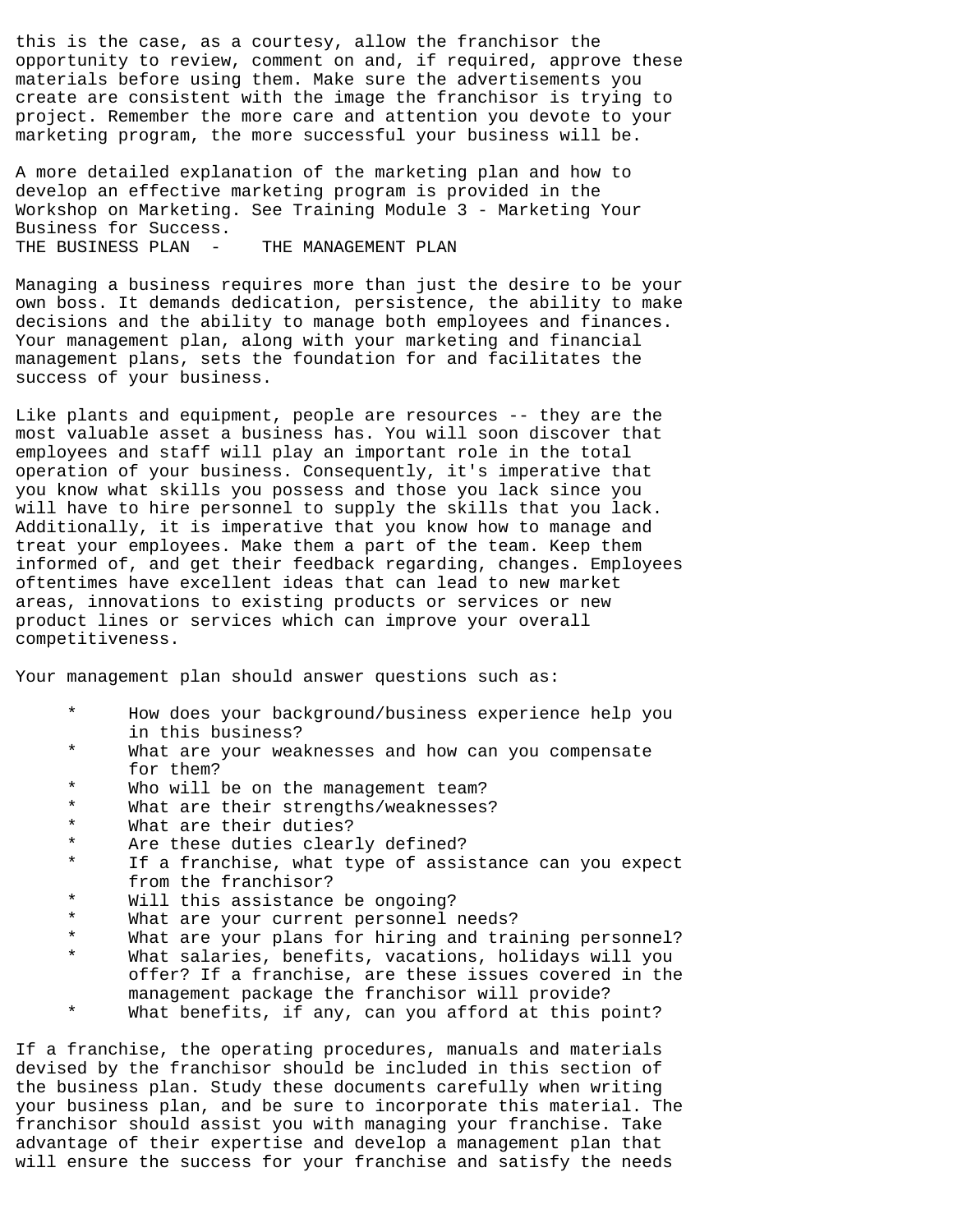this is the case, as a courtesy, allow the franchisor the opportunity to review, comment on and, if required, approve these materials before using them. Make sure the advertisements you create are consistent with the image the franchisor is trying to project. Remember the more care and attention you devote to your marketing program, the more successful your business will be.

A more detailed explanation of the marketing plan and how to develop an effective marketing program is provided in the Workshop on Marketing. See Training Module 3 - Marketing Your Business for Success. THE BUSINESS PLAN - THE MANAGEMENT PLAN

Managing a business requires more than just the desire to be your own boss. It demands dedication, persistence, the ability to make decisions and the ability to manage both employees and finances. Your management plan, along with your marketing and financial management plans, sets the foundation for and facilitates the success of your business.

Like plants and equipment, people are resources -- they are the most valuable asset a business has. You will soon discover that employees and staff will play an important role in the total operation of your business. Consequently, it's imperative that you know what skills you possess and those you lack since you will have to hire personnel to supply the skills that you lack. Additionally, it is imperative that you know how to manage and treat your employees. Make them a part of the team. Keep them informed of, and get their feedback regarding, changes. Employees oftentimes have excellent ideas that can lead to new market areas, innovations to existing products or services or new product lines or services which can improve your overall competitiveness.

Your management plan should answer questions such as:

- \* How does your background/business experience help you in this business?
- \* What are your weaknesses and how can you compensate for them?
- \* Who will be on the management team?
- \* What are their strengths/weaknesses?
- \* What are their duties?
- \* Are these duties clearly defined?
- \* If a franchise, what type of assistance can you expect from the franchisor?
- \* Will this assistance be ongoing?
- \* What are your current personnel needs?
- \* What are your plans for hiring and training personnel?
- \* What salaries, benefits, vacations, holidays will you offer? If a franchise, are these issues covered in the management package the franchisor will provide?
- \* What benefits, if any, can you afford at this point?

If a franchise, the operating procedures, manuals and materials devised by the franchisor should be included in this section of the business plan. Study these documents carefully when writing your business plan, and be sure to incorporate this material. The franchisor should assist you with managing your franchise. Take advantage of their expertise and develop a management plan that will ensure the success for your franchise and satisfy the needs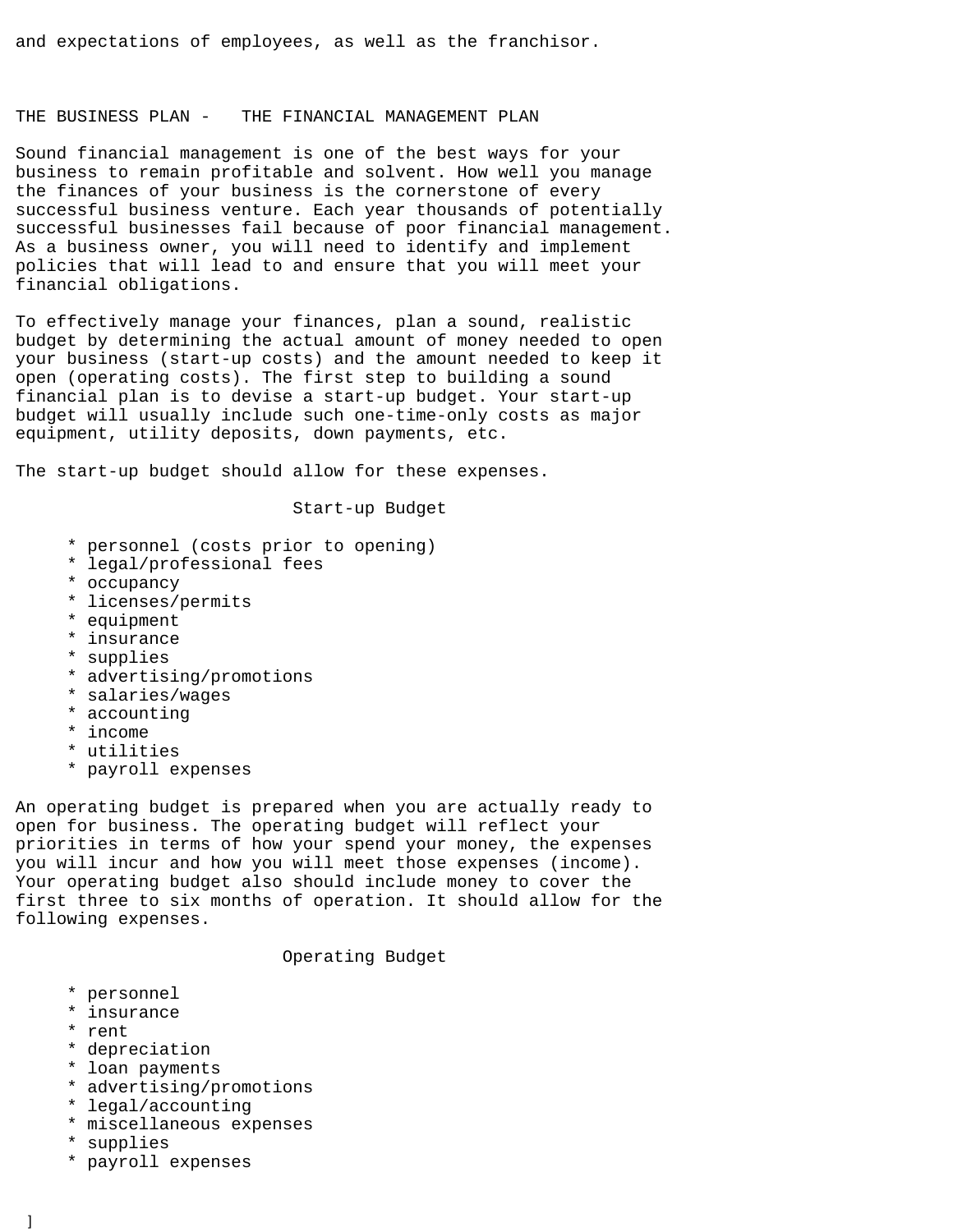and expectations of employees, as well as the franchisor.

#### THE BUSINESS PLAN - THE FINANCIAL MANAGEMENT PLAN

Sound financial management is one of the best ways for your business to remain profitable and solvent. How well you manage the finances of your business is the cornerstone of every successful business venture. Each year thousands of potentially successful businesses fail because of poor financial management. As a business owner, you will need to identify and implement policies that will lead to and ensure that you will meet your financial obligations.

To effectively manage your finances, plan a sound, realistic budget by determining the actual amount of money needed to open your business (start-up costs) and the amount needed to keep it open (operating costs). The first step to building a sound financial plan is to devise a start-up budget. Your start-up budget will usually include such one-time-only costs as major equipment, utility deposits, down payments, etc.

The start-up budget should allow for these expenses.

Start-up Budget

- \* personnel (costs prior to opening)
- \* legal/professional fees
- \* occupancy
- \* licenses/permits
- \* equipment
- \* insurance
- \* supplies
- \* advertising/promotions
- \* salaries/wages
- \* accounting
- \* income
- \* utilities
- \* payroll expenses

An operating budget is prepared when you are actually ready to open for business. The operating budget will reflect your priorities in terms of how your spend your money, the expenses you will incur and how you will meet those expenses (income). Your operating budget also should include money to cover the first three to six months of operation. It should allow for the following expenses.

Operating Budget

- \* personnel
- \* insurance
- \* rent
- \* depreciation
- \* loan payments
- \* advertising/promotions
- \* legal/accounting
- \* miscellaneous expenses
- \* supplies
- \* payroll expenses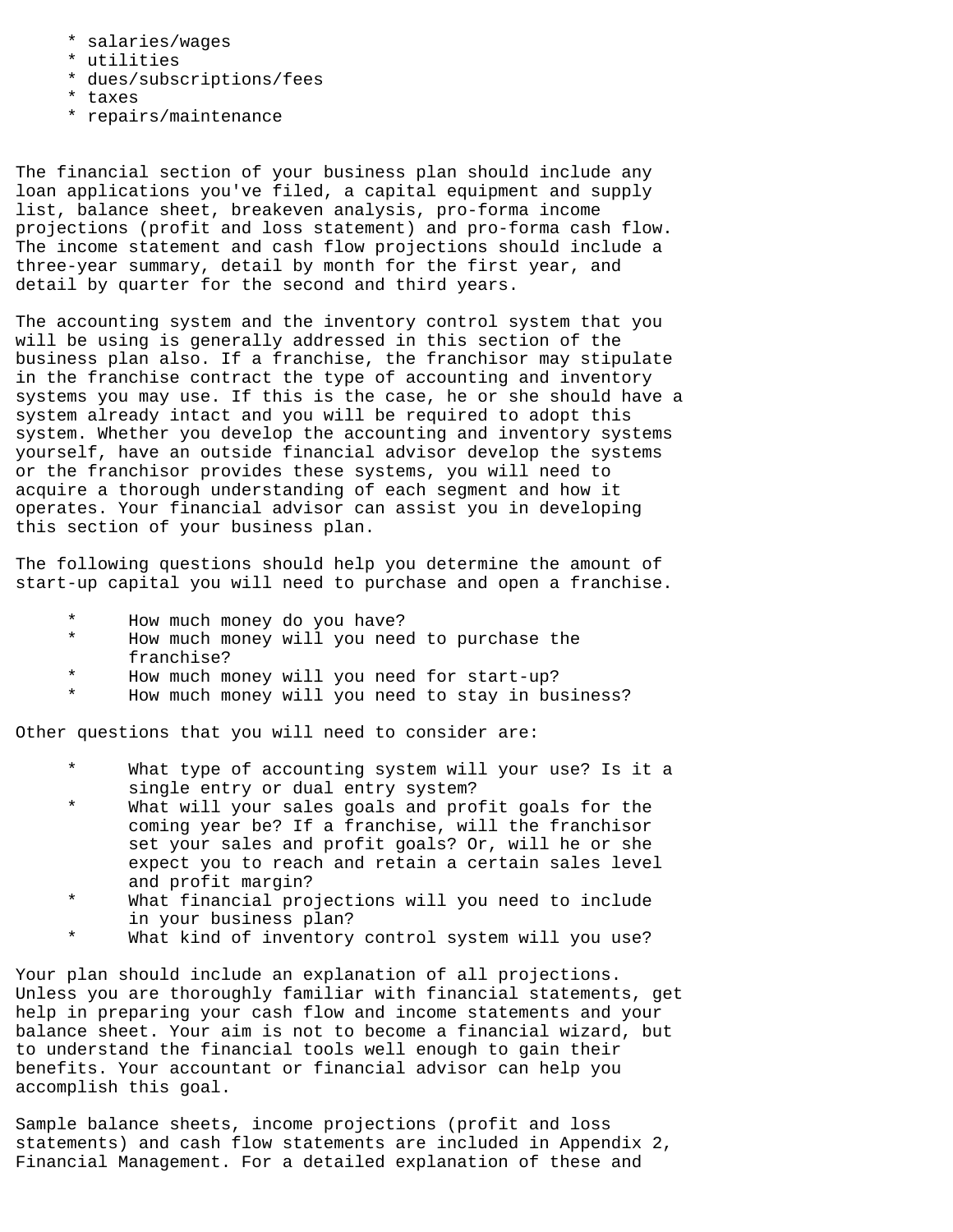- \* salaries/wages
- \* utilities
- \* dues/subscriptions/fees
- \* taxes
- \* repairs/maintenance

The financial section of your business plan should include any loan applications you've filed, a capital equipment and supply list, balance sheet, breakeven analysis, pro-forma income projections (profit and loss statement) and pro-forma cash flow. The income statement and cash flow projections should include a three-year summary, detail by month for the first year, and detail by quarter for the second and third years.

The accounting system and the inventory control system that you will be using is generally addressed in this section of the business plan also. If a franchise, the franchisor may stipulate in the franchise contract the type of accounting and inventory systems you may use. If this is the case, he or she should have a system already intact and you will be required to adopt this system. Whether you develop the accounting and inventory systems yourself, have an outside financial advisor develop the systems or the franchisor provides these systems, you will need to acquire a thorough understanding of each segment and how it operates. Your financial advisor can assist you in developing this section of your business plan.

The following questions should help you determine the amount of start-up capital you will need to purchase and open a franchise.

- \* How much money do you have?
- \* How much money will you need to purchase the franchise?
- \* How much money will you need for start-up?
- \* How much money will you need to stay in business?

Other questions that you will need to consider are:

- \* What type of accounting system will your use? Is it a single entry or dual entry system?
- \* What will your sales goals and profit goals for the coming year be? If a franchise, will the franchisor set your sales and profit goals? Or, will he or she expect you to reach and retain a certain sales level and profit margin?
- \* What financial projections will you need to include in your business plan?
- \* What kind of inventory control system will you use?

Your plan should include an explanation of all projections. Unless you are thoroughly familiar with financial statements, get help in preparing your cash flow and income statements and your balance sheet. Your aim is not to become a financial wizard, but to understand the financial tools well enough to gain their benefits. Your accountant or financial advisor can help you accomplish this goal.

Sample balance sheets, income projections (profit and loss statements) and cash flow statements are included in Appendix 2, Financial Management. For a detailed explanation of these and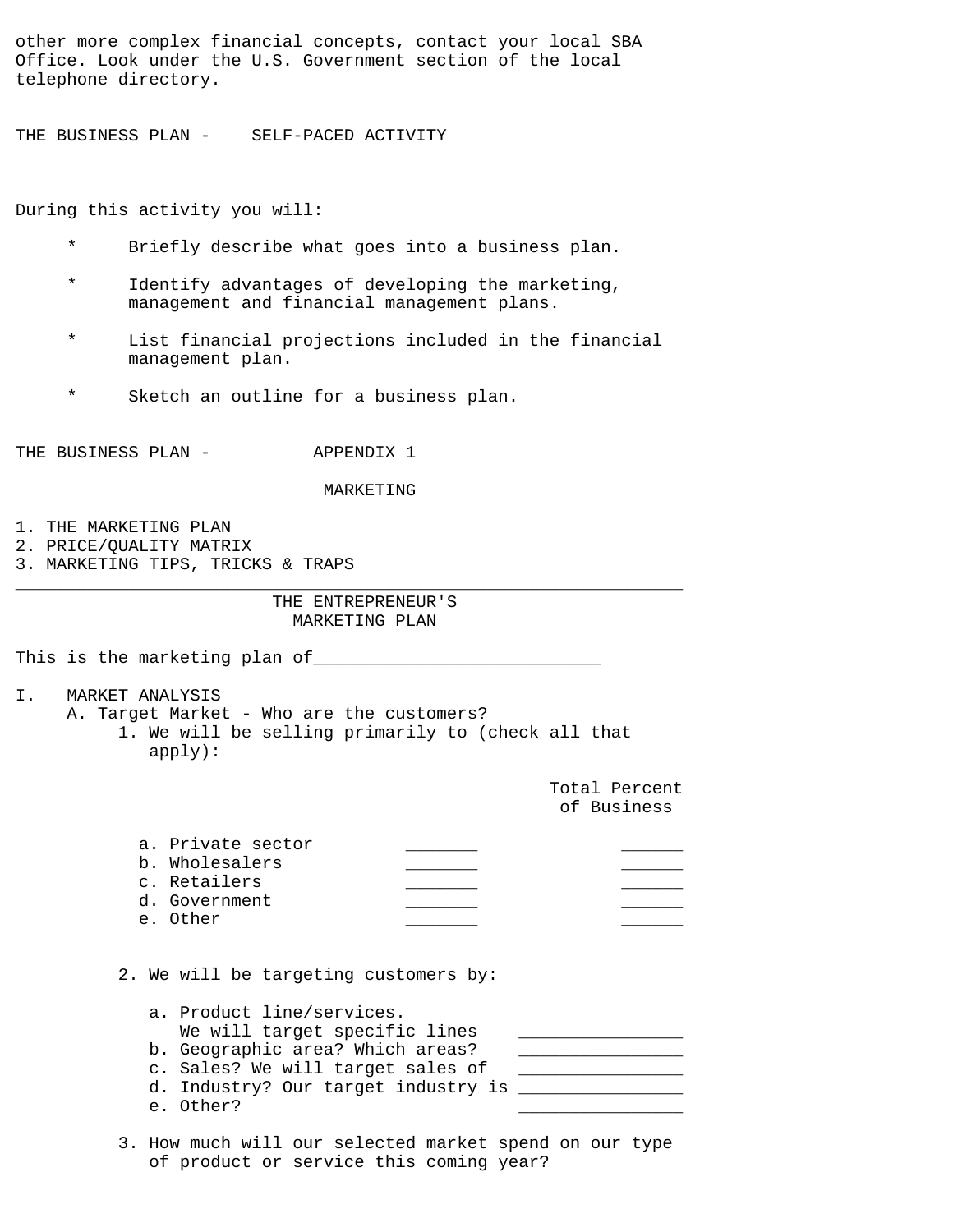other more complex financial concepts, contact your local SBA Office. Look under the U.S. Government section of the local telephone directory.

THE BUSINESS PLAN - SELF-PACED ACTIVITY

During this activity you will:

- \* Briefly describe what goes into a business plan.
- \* Identify advantages of developing the marketing, management and financial management plans.
- \* List financial projections included in the financial management plan.
- \* Sketch an outline for a business plan.

THE BUSINESS PLAN - APPENDIX 1

# MARKETING

- 1. THE MARKETING PLAN
- 2. PRICE/QUALITY MATRIX
- 3. MARKETING TIPS, TRICKS & TRAPS

#### THE ENTREPRENEUR'S MARKETING PLAN

\_\_\_\_\_\_\_\_\_\_\_\_\_\_\_\_\_\_\_\_\_\_\_\_\_\_\_\_\_\_\_\_\_\_\_\_\_\_\_\_\_\_\_\_\_\_\_\_\_\_\_\_\_\_\_\_\_\_\_\_\_\_\_\_\_

This is the marketing plan of\_\_\_\_\_\_\_\_\_\_\_\_\_\_\_\_\_\_\_\_\_\_\_\_\_\_\_\_

I. MARKET ANALYSIS A. Target Market - Who are the customers?

> 1. We will be selling primarily to (check all that apply):

> > Total Percent of Business

| a. Private sector |  |
|-------------------|--|
| b. Wholesalers    |  |
| c. Retailers      |  |
| d. Government     |  |
| e. Other          |  |
|                   |  |

## 2. We will be targeting customers by:

| a. Product line/services.              |  |
|----------------------------------------|--|
| We will target specific lines          |  |
| b. Geographic area? Which areas?       |  |
| c. Sales? We will target sales of      |  |
| d. Industry? Our target industry is __ |  |
| e. Other?                              |  |

 3. How much will our selected market spend on our type of product or service this coming year?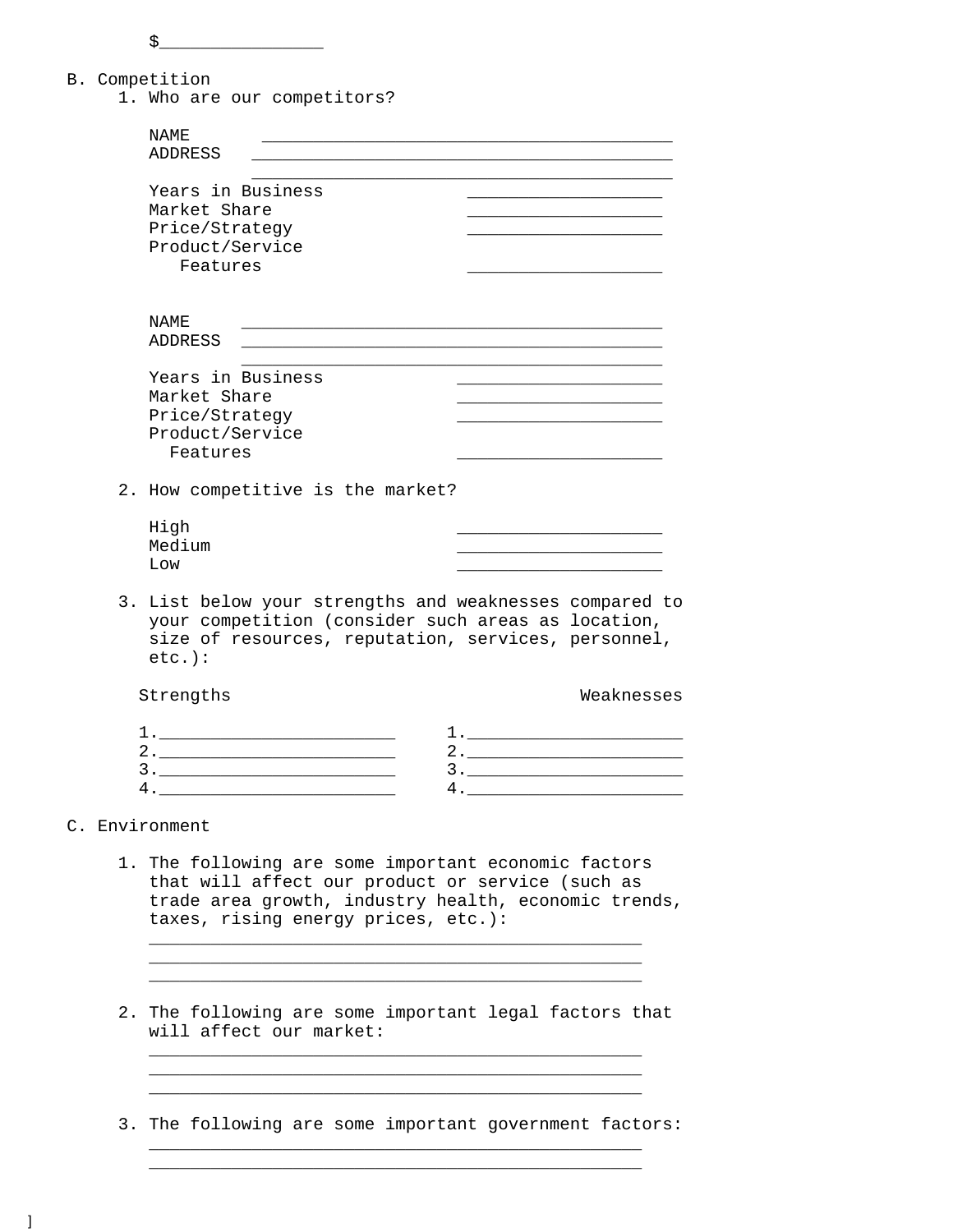| 1. Who are our competitors?                                                                                                                                                       |                                                               |
|-----------------------------------------------------------------------------------------------------------------------------------------------------------------------------------|---------------------------------------------------------------|
| NAME                                                                                                                                                                              |                                                               |
| ADDRESS                                                                                                                                                                           |                                                               |
|                                                                                                                                                                                   |                                                               |
| Years in Business                                                                                                                                                                 |                                                               |
| Market Share<br>Price/Strategy                                                                                                                                                    |                                                               |
| Product/Service                                                                                                                                                                   |                                                               |
| Features                                                                                                                                                                          |                                                               |
|                                                                                                                                                                                   |                                                               |
| NAME                                                                                                                                                                              | <u> 1980 - Johann Barn, mars an t-Amerikaansk politiker (</u> |
| ADDRESS                                                                                                                                                                           |                                                               |
| Years in Business                                                                                                                                                                 |                                                               |
| Market Share                                                                                                                                                                      |                                                               |
| Price/Strategy                                                                                                                                                                    |                                                               |
| Product/Service                                                                                                                                                                   |                                                               |
| Features                                                                                                                                                                          |                                                               |
| 2. How competitive is the market?                                                                                                                                                 |                                                               |
| High                                                                                                                                                                              |                                                               |
| Medium                                                                                                                                                                            |                                                               |
| Low                                                                                                                                                                               |                                                               |
| 3. List below your strengths and weaknesses compared to<br>your competition (consider such areas as location,<br>size of resources, reputation, services, personnel,<br>$etc.$ ): |                                                               |
| Strengths                                                                                                                                                                         | Weaknesses                                                    |
|                                                                                                                                                                                   | 1.                                                            |
|                                                                                                                                                                                   |                                                               |
| 3.                                                                                                                                                                                |                                                               |
| $4. \_$                                                                                                                                                                           |                                                               |
|                                                                                                                                                                                   |                                                               |
| C. Environment                                                                                                                                                                    |                                                               |
| 1. The following are some important economic factors                                                                                                                              |                                                               |
| that will affect our product or service (such as                                                                                                                                  |                                                               |
| trade area growth, industry health, economic trends,<br>taxes, rising energy prices, etc.):                                                                                       |                                                               |

]

 2. The following are some important legal factors that will affect our market: \_\_\_\_\_\_\_\_\_\_\_\_\_\_\_\_\_\_\_\_\_\_\_\_\_\_\_\_\_\_\_\_\_\_\_\_\_\_\_\_\_\_\_\_\_\_\_\_

\_\_\_\_\_\_\_\_\_\_\_\_\_\_\_\_\_\_\_\_\_\_\_\_\_\_\_\_\_\_\_\_\_\_\_\_\_\_\_\_\_\_\_\_\_\_\_\_

\_\_\_\_\_\_\_\_\_\_\_\_\_\_\_\_\_\_\_\_\_\_\_\_\_\_\_\_\_\_\_\_\_\_\_\_\_\_\_\_\_\_\_\_\_\_\_\_

3. The following are some important government factors: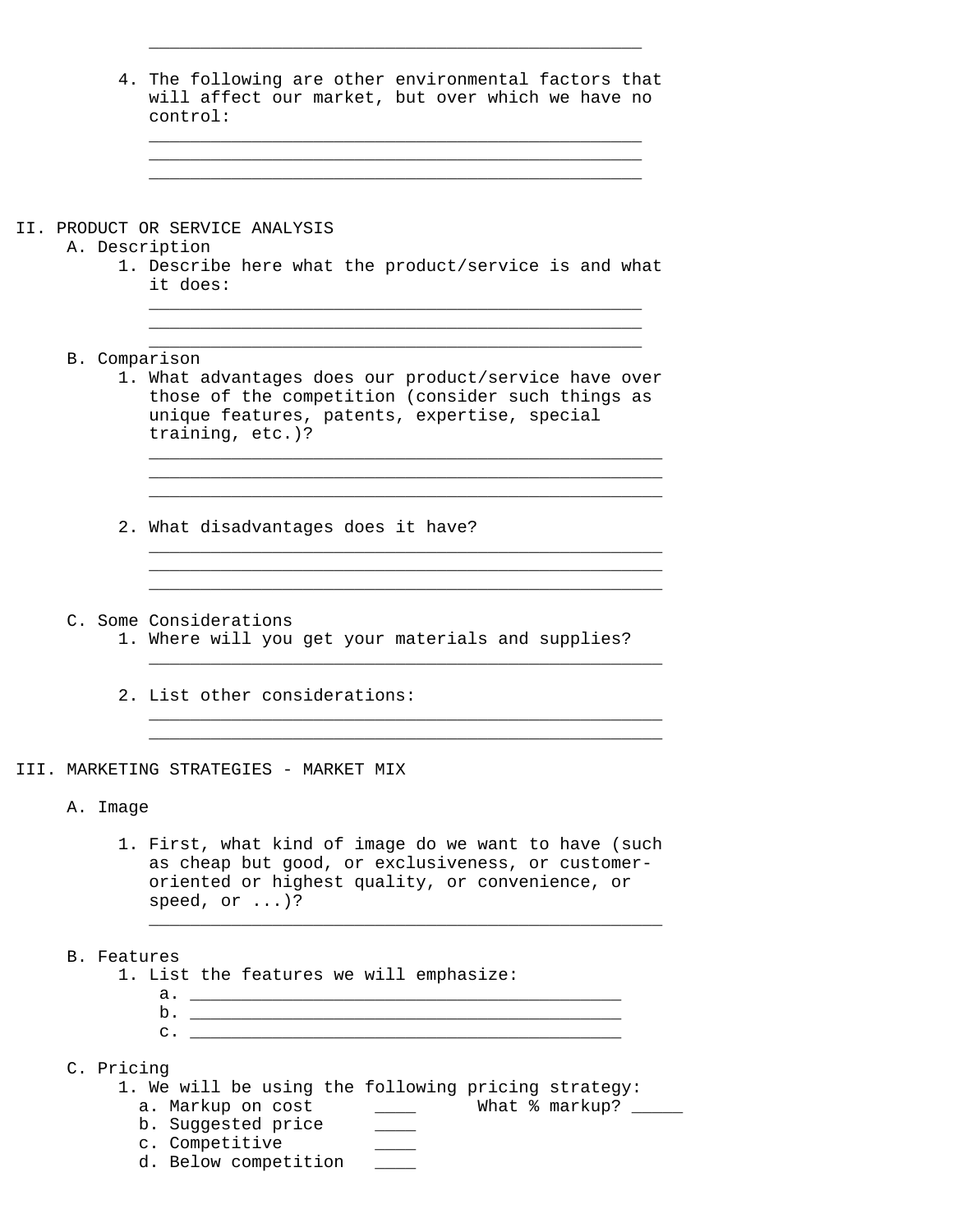4. The following are other environmental factors that will affect our market, but over which we have no control:

\_\_\_\_\_\_\_\_\_\_\_\_\_\_\_\_\_\_\_\_\_\_\_\_\_\_\_\_\_\_\_\_\_\_\_\_\_\_\_\_\_\_\_\_\_\_\_\_

 \_\_\_\_\_\_\_\_\_\_\_\_\_\_\_\_\_\_\_\_\_\_\_\_\_\_\_\_\_\_\_\_\_\_\_\_\_\_\_\_\_\_\_\_\_\_\_\_ \_\_\_\_\_\_\_\_\_\_\_\_\_\_\_\_\_\_\_\_\_\_\_\_\_\_\_\_\_\_\_\_\_\_\_\_\_\_\_\_\_\_\_\_\_\_\_\_ \_\_\_\_\_\_\_\_\_\_\_\_\_\_\_\_\_\_\_\_\_\_\_\_\_\_\_\_\_\_\_\_\_\_\_\_\_\_\_\_\_\_\_\_\_\_\_\_

 \_\_\_\_\_\_\_\_\_\_\_\_\_\_\_\_\_\_\_\_\_\_\_\_\_\_\_\_\_\_\_\_\_\_\_\_\_\_\_\_\_\_\_\_\_\_\_\_ \_\_\_\_\_\_\_\_\_\_\_\_\_\_\_\_\_\_\_\_\_\_\_\_\_\_\_\_\_\_\_\_\_\_\_\_\_\_\_\_\_\_\_\_\_\_\_\_ \_\_\_\_\_\_\_\_\_\_\_\_\_\_\_\_\_\_\_\_\_\_\_\_\_\_\_\_\_\_\_\_\_\_\_\_\_\_\_\_\_\_\_\_\_\_\_\_

 \_\_\_\_\_\_\_\_\_\_\_\_\_\_\_\_\_\_\_\_\_\_\_\_\_\_\_\_\_\_\_\_\_\_\_\_\_\_\_\_\_\_\_\_\_\_\_\_\_\_ \_\_\_\_\_\_\_\_\_\_\_\_\_\_\_\_\_\_\_\_\_\_\_\_\_\_\_\_\_\_\_\_\_\_\_\_\_\_\_\_\_\_\_\_\_\_\_\_\_\_ \_\_\_\_\_\_\_\_\_\_\_\_\_\_\_\_\_\_\_\_\_\_\_\_\_\_\_\_\_\_\_\_\_\_\_\_\_\_\_\_\_\_\_\_\_\_\_\_\_\_

 \_\_\_\_\_\_\_\_\_\_\_\_\_\_\_\_\_\_\_\_\_\_\_\_\_\_\_\_\_\_\_\_\_\_\_\_\_\_\_\_\_\_\_\_\_\_\_\_\_\_ \_\_\_\_\_\_\_\_\_\_\_\_\_\_\_\_\_\_\_\_\_\_\_\_\_\_\_\_\_\_\_\_\_\_\_\_\_\_\_\_\_\_\_\_\_\_\_\_\_\_ \_\_\_\_\_\_\_\_\_\_\_\_\_\_\_\_\_\_\_\_\_\_\_\_\_\_\_\_\_\_\_\_\_\_\_\_\_\_\_\_\_\_\_\_\_\_\_\_\_\_

\_\_\_\_\_\_\_\_\_\_\_\_\_\_\_\_\_\_\_\_\_\_\_\_\_\_\_\_\_\_\_\_\_\_\_\_\_\_\_\_\_\_\_\_\_\_\_\_\_\_

 \_\_\_\_\_\_\_\_\_\_\_\_\_\_\_\_\_\_\_\_\_\_\_\_\_\_\_\_\_\_\_\_\_\_\_\_\_\_\_\_\_\_\_\_\_\_\_\_\_\_ \_\_\_\_\_\_\_\_\_\_\_\_\_\_\_\_\_\_\_\_\_\_\_\_\_\_\_\_\_\_\_\_\_\_\_\_\_\_\_\_\_\_\_\_\_\_\_\_\_\_

- II. PRODUCT OR SERVICE ANALYSIS
	- A. Description
		- 1. Describe here what the product/service is and what it does:
	- B. Comparison
		- 1. What advantages does our product/service have over those of the competition (consider such things as unique features, patents, expertise, special training, etc.)?
		- 2. What disadvantages does it have?
	- C. Some Considerations
		- 1. Where will you get your materials and supplies?
		- 2. List other considerations:
- III. MARKETING STRATEGIES MARKET MIX
	- A. Image
- 1. First, what kind of image do we want to have (such as cheap but good, or exclusiveness, or customer oriented or highest quality, or convenience, or speed, or ...)? \_\_\_\_\_\_\_\_\_\_\_\_\_\_\_\_\_\_\_\_\_\_\_\_\_\_\_\_\_\_\_\_\_\_\_\_\_\_\_\_\_\_\_\_\_\_\_\_\_\_

 B. Features 1. List the features we will emphasize: a. \_\_\_\_\_\_\_\_\_\_\_\_\_\_\_\_\_\_\_\_\_\_\_\_\_\_\_\_\_\_\_\_\_\_\_\_\_\_\_\_\_\_ b. \_\_\_\_\_\_\_\_\_\_\_\_\_\_\_\_\_\_\_\_\_\_\_\_\_\_\_\_\_\_\_\_\_\_\_\_\_\_\_\_\_\_  $c.$   $\Box$ 

C. Pricing

- 1. We will be using the following pricing strategy:
- a. Markup on cost \_\_\_\_\_ What % markup? \_\_\_\_
- b. Suggested price  $\begin{array}{ccc} \text{\_} \end{array}$
- c. Competitive \_\_\_\_
	- c. Compectitive<br>d. Below competition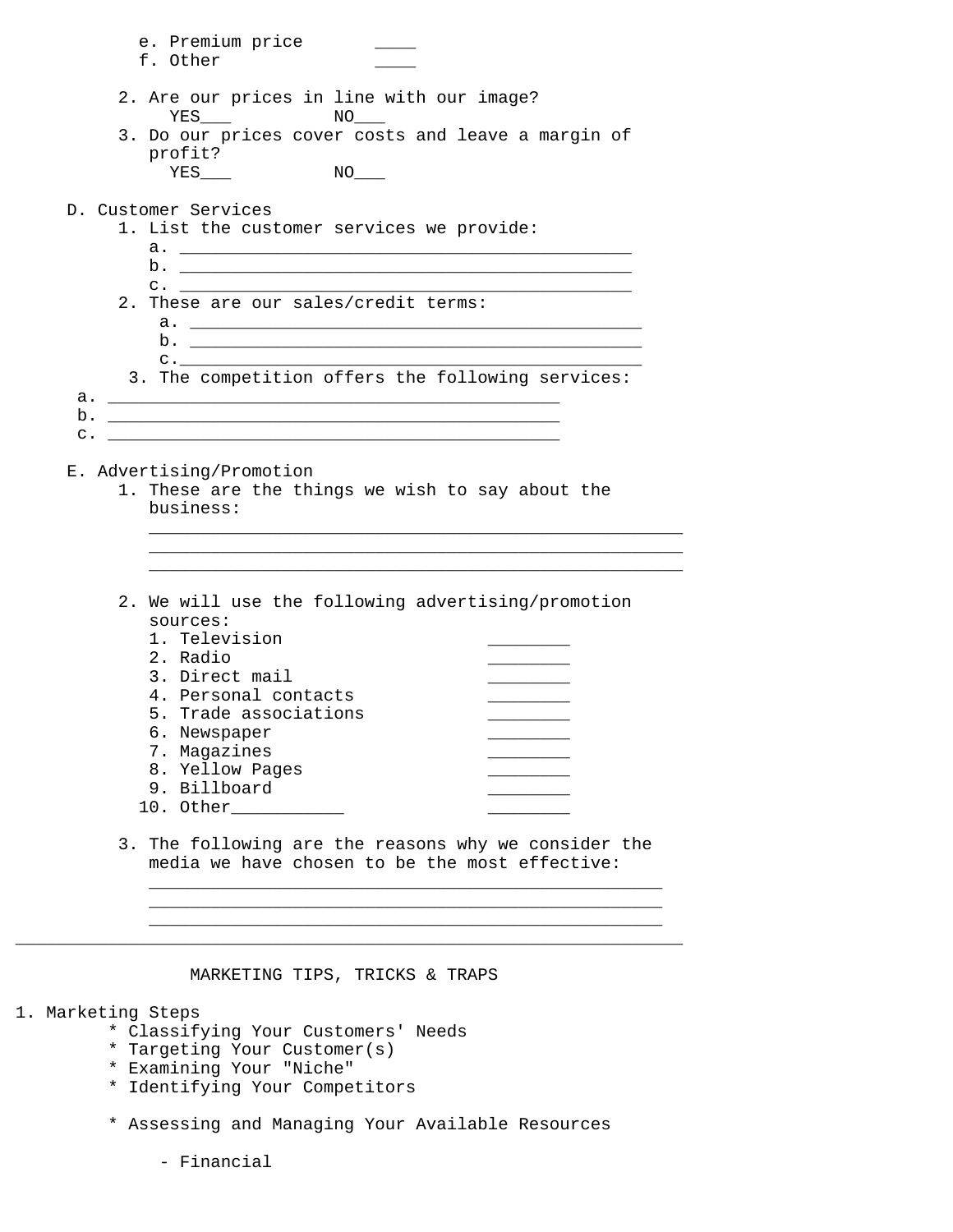| 2. Are our prices in line with our image?<br>$YES$ and $T = 1$ and $T = 1$ and $T = 1$ and $T = 1$ and $T = 1$ and $T = 1$ and $T = 1$ and $T = 1$ and $T = 1$ and $T = 1$ and $T = 1$ and $T = 1$ and $T = 1$ and $T = 1$ and $T = 1$ and $T = 1$ and $T = 1$ and $T = 1$ and $T = 1$ and $T = $ |
|---------------------------------------------------------------------------------------------------------------------------------------------------------------------------------------------------------------------------------------------------------------------------------------------------|
| 3. Do our prices cover costs and leave a margin of                                                                                                                                                                                                                                                |
| profit?                                                                                                                                                                                                                                                                                           |
| $YES$ <sub>_____</sub><br>$NO$ <sub>_____</sub>                                                                                                                                                                                                                                                   |
| D. Customer Services                                                                                                                                                                                                                                                                              |
| 1. List the customer services we provide:                                                                                                                                                                                                                                                         |
|                                                                                                                                                                                                                                                                                                   |
|                                                                                                                                                                                                                                                                                                   |
| 2. These are our sales/credit terms:                                                                                                                                                                                                                                                              |
|                                                                                                                                                                                                                                                                                                   |
|                                                                                                                                                                                                                                                                                                   |
| 3. The competition offers the following services:                                                                                                                                                                                                                                                 |
|                                                                                                                                                                                                                                                                                                   |
| $b.$ $\overline{\phantom{a}}$                                                                                                                                                                                                                                                                     |
|                                                                                                                                                                                                                                                                                                   |
|                                                                                                                                                                                                                                                                                                   |
|                                                                                                                                                                                                                                                                                                   |
| E. Advertising/Promotion<br>1. These are the things we wish to say about the                                                                                                                                                                                                                      |
| business:                                                                                                                                                                                                                                                                                         |
|                                                                                                                                                                                                                                                                                                   |
| <u> 1989 - Johann Stoff, amerikansk politik (f. 1989)</u>                                                                                                                                                                                                                                         |
|                                                                                                                                                                                                                                                                                                   |
| 2. We will use the following advertising/promotion                                                                                                                                                                                                                                                |
| sources:                                                                                                                                                                                                                                                                                          |
| 1. Television                                                                                                                                                                                                                                                                                     |
| 2. Radio<br>3. Direct mail                                                                                                                                                                                                                                                                        |
| 4. Personal contacts                                                                                                                                                                                                                                                                              |
| 5. Trade associations                                                                                                                                                                                                                                                                             |
| 6. Newspaper                                                                                                                                                                                                                                                                                      |
| 7. Magazines                                                                                                                                                                                                                                                                                      |
| 8. Yellow Pages                                                                                                                                                                                                                                                                                   |
| 9. Billboard                                                                                                                                                                                                                                                                                      |
| 10. Other_____________                                                                                                                                                                                                                                                                            |
| 3. The following are the reasons why we consider the                                                                                                                                                                                                                                              |
| media we have chosen to be the most effective:                                                                                                                                                                                                                                                    |
|                                                                                                                                                                                                                                                                                                   |
|                                                                                                                                                                                                                                                                                                   |

- 1. Marketing Steps
	- \* Classifying Your Customers' Needs
	- \* Targeting Your Customer(s)
	- \* Examining Your "Niche"
	- \* Identifying Your Competitors
	- \* Assessing and Managing Your Available Resources

- Financial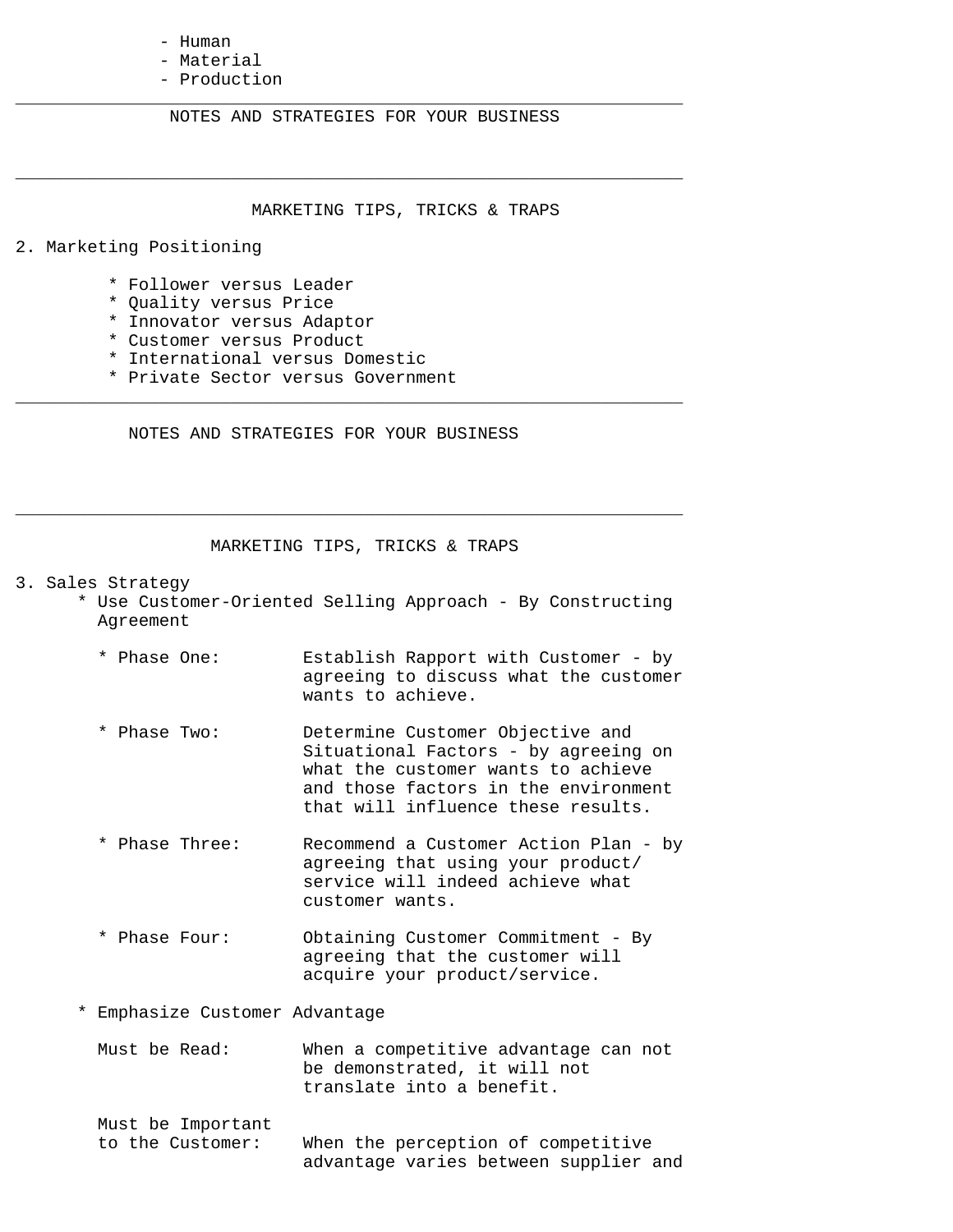- Human
- Material
- Production

NOTES AND STRATEGIES FOR YOUR BUSINESS

\_\_\_\_\_\_\_\_\_\_\_\_\_\_\_\_\_\_\_\_\_\_\_\_\_\_\_\_\_\_\_\_\_\_\_\_\_\_\_\_\_\_\_\_\_\_\_\_\_\_\_\_\_\_\_\_\_\_\_\_\_\_\_\_\_

\_\_\_\_\_\_\_\_\_\_\_\_\_\_\_\_\_\_\_\_\_\_\_\_\_\_\_\_\_\_\_\_\_\_\_\_\_\_\_\_\_\_\_\_\_\_\_\_\_\_\_\_\_\_\_\_\_\_\_\_\_\_\_\_\_

#### MARKETING TIPS, TRICKS & TRAPS

# 2. Marketing Positioning

- \* Follower versus Leader
- \* Quality versus Price
- \* Innovator versus Adaptor
- \* Customer versus Product
- \* International versus Domestic
- \* Private Sector versus Government

NOTES AND STRATEGIES FOR YOUR BUSINESS

\_\_\_\_\_\_\_\_\_\_\_\_\_\_\_\_\_\_\_\_\_\_\_\_\_\_\_\_\_\_\_\_\_\_\_\_\_\_\_\_\_\_\_\_\_\_\_\_\_\_\_\_\_\_\_\_\_\_\_\_\_\_\_\_\_

\_\_\_\_\_\_\_\_\_\_\_\_\_\_\_\_\_\_\_\_\_\_\_\_\_\_\_\_\_\_\_\_\_\_\_\_\_\_\_\_\_\_\_\_\_\_\_\_\_\_\_\_\_\_\_\_\_\_\_\_\_\_\_\_\_

MARKETING TIPS, TRICKS & TRAPS

3. Sales Strategy

- \* Use Customer-Oriented Selling Approach By Constructing Agreement
	- \* Phase One: Establish Rapport with Customer by agreeing to discuss what the customer wants to achieve.
	- \* Phase Two: Determine Customer Objective and Situational Factors - by agreeing on what the customer wants to achieve and those factors in the environment that will influence these results.
	- \* Phase Three: Recommend a Customer Action Plan by agreeing that using your product/ service will indeed achieve what customer wants.
	- \* Phase Four: Obtaining Customer Commitment By agreeing that the customer will acquire your product/service.
- \* Emphasize Customer Advantage
	- Must be Read: When a competitive advantage can not be demonstrated, it will not translate into a benefit.

 Must be Important to the Customer: When the perception of competitive advantage varies between supplier and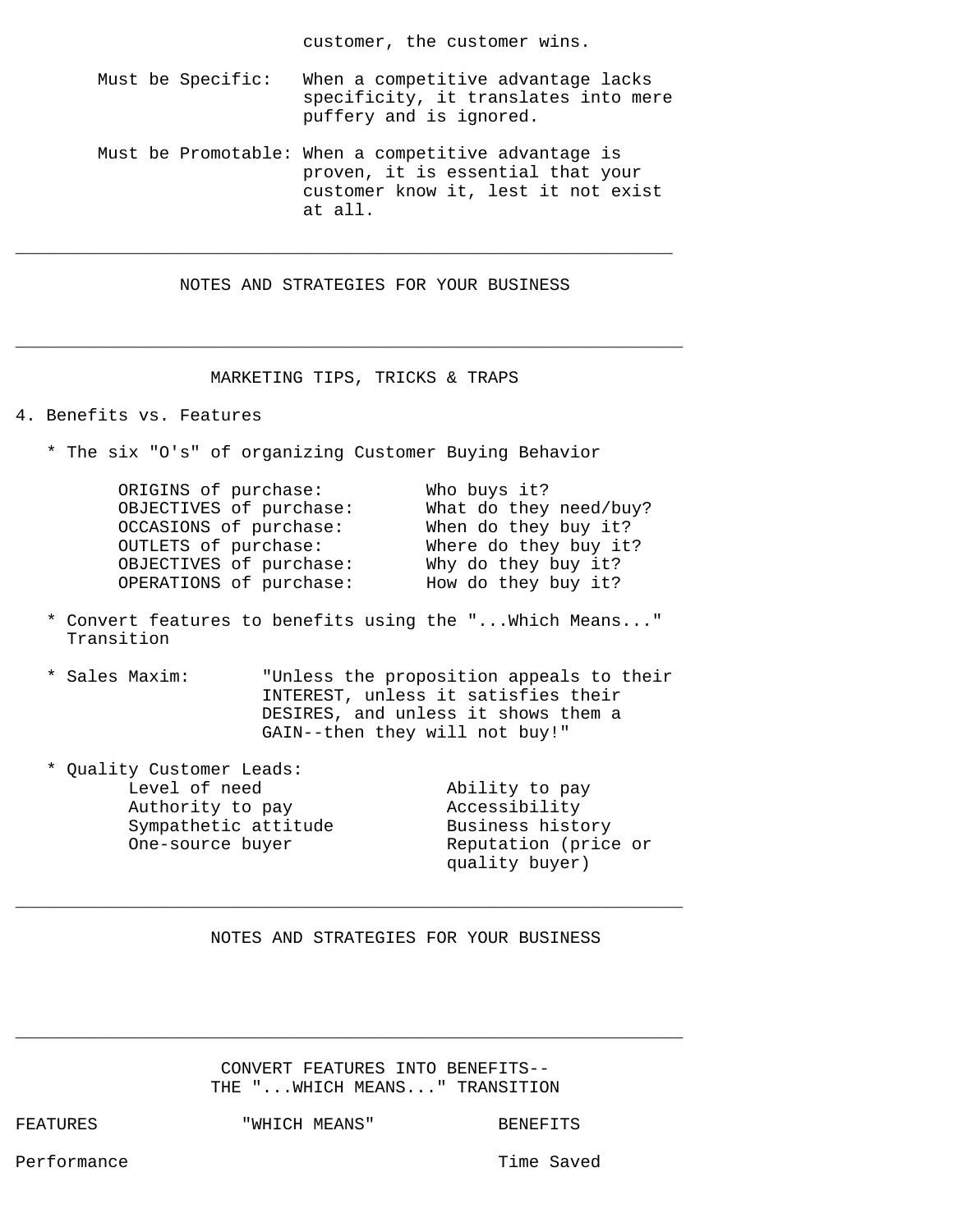customer, the customer wins.

 Must be Specific: When a competitive advantage lacks specificity, it translates into mere puffery and is ignored.

 Must be Promotable: When a competitive advantage is proven, it is essential that your customer know it, lest it not exist at all.

NOTES AND STRATEGIES FOR YOUR BUSINESS

\_\_\_\_\_\_\_\_\_\_\_\_\_\_\_\_\_\_\_\_\_\_\_\_\_\_\_\_\_\_\_\_\_\_\_\_\_\_\_\_\_\_\_\_\_\_\_\_\_\_\_\_\_\_\_\_\_\_\_\_\_\_\_\_

\_\_\_\_\_\_\_\_\_\_\_\_\_\_\_\_\_\_\_\_\_\_\_\_\_\_\_\_\_\_\_\_\_\_\_\_\_\_\_\_\_\_\_\_\_\_\_\_\_\_\_\_\_\_\_\_\_\_\_\_\_\_\_\_\_

# MARKETING TIPS, TRICKS & TRAPS

- 4. Benefits vs. Features
	- \* The six "O's" of organizing Customer Buying Behavior

| ORIGINS of purchase:    | Who buys it?           |
|-------------------------|------------------------|
| OBJECTIVES of purchase: | What do they need/buy? |
| OCCASIONS of purchase:  | When do they buy it?   |
| OUTLETS of purchase:    | Where do they buy it?  |
| OBJECTIVES of purchase: | Why do they buy it?    |
| OPERATIONS of purchase: | How do they buy it?    |
|                         |                        |

- \* Convert features to benefits using the "...Which Means..." Transition
- \* Sales Maxim: "Unless the proposition appeals to their INTEREST, unless it satisfies their DESIRES, and unless it shows them a GAIN--then they will not buy!"

\_\_\_\_\_\_\_\_\_\_\_\_\_\_\_\_\_\_\_\_\_\_\_\_\_\_\_\_\_\_\_\_\_\_\_\_\_\_\_\_\_\_\_\_\_\_\_\_\_\_\_\_\_\_\_\_\_\_\_\_\_\_\_\_\_

\_\_\_\_\_\_\_\_\_\_\_\_\_\_\_\_\_\_\_\_\_\_\_\_\_\_\_\_\_\_\_\_\_\_\_\_\_\_\_\_\_\_\_\_\_\_\_\_\_\_\_\_\_\_\_\_\_\_\_\_\_\_\_\_\_

 \* Quality Customer Leads: Level of need ability to pay Authority to pay **Accessibility** Sympathetic attitude Business history One-source buyer Reputation (price or

quality buyer)

NOTES AND STRATEGIES FOR YOUR BUSINESS

 CONVERT FEATURES INTO BENEFITS-- THE "...WHICH MEANS..." TRANSITION

FEATURES "WHICH MEANS" BENEFITS

Performance and the Saved Time Saved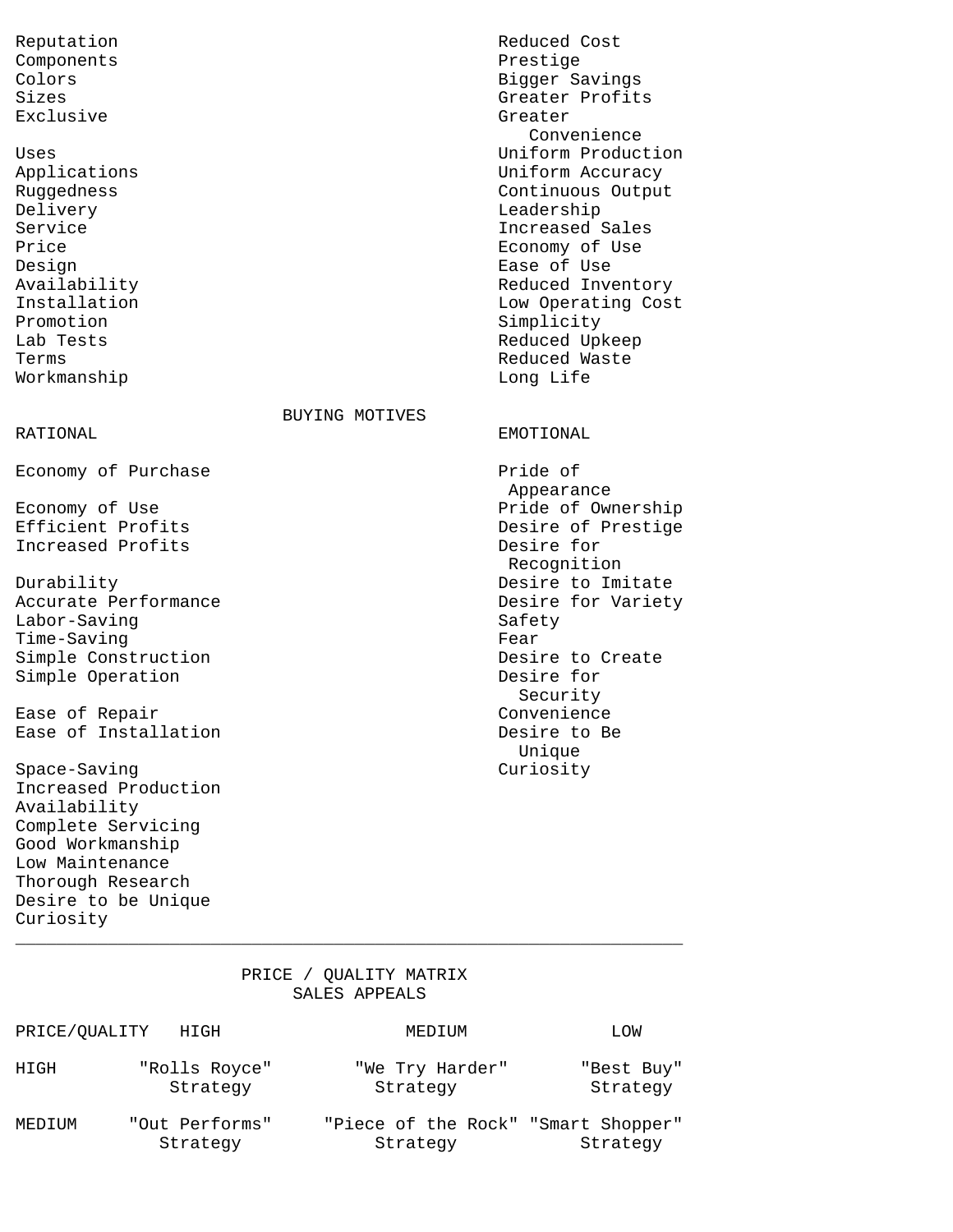Components Prestige Exclusive Greater Greater Greater (Greater Greater Greater Greater Greater Greater Greater Greater  $G$ 

Delivery Leadership Design Ease of Use Promotion Simplicity Workmanship Long Life

# BUYING MOTIVES

Economy of Purchase **Pride of** 

Increased Profits Desire for

Accurate Performance and Controller and Desire for Variety Labor-Saving Safety Safety Time-Saving Fear Fear Simple Construction  $\qquad \qquad$  Desire to Create Simple Operation **Desire for Desire for** 

Ease of Repair Convenience Ease of Installation and Desire to Be

Space-Saving Curiosity Increased Production Availability Complete Servicing Good Workmanship Low Maintenance Thorough Research Desire to be Unique Curiosity

Reputation Reduced Cost Colors Bigger Savings Sizes Greater Profits Convenience Uses Uniform Production Applications **Example 2018** Uniform Accuracy Ruggedness **Continuous** Output Service Increased Sales Price Economy of Use Availability **Reduced Inventory Reduced Inventory** Installation and Low Operating Cost Lab Tests and the contract of the contract of the Reduced Upkeep and the Reduced Upkeep and the Reduced Upkeep Terms Reduced Waste

# RATIONAL **EMOTIONAL**

 Appearance Economy of Use extending the Conomy of Use and Pride of Ownership Efficient Profits Desire of Prestige Recognition Durability **Durability** Desire to Imitate Security Unique

# PRICE / QUALITY MATRIX SALES APPEALS

\_\_\_\_\_\_\_\_\_\_\_\_\_\_\_\_\_\_\_\_\_\_\_\_\_\_\_\_\_\_\_\_\_\_\_\_\_\_\_\_\_\_\_\_\_\_\_\_\_\_\_\_\_\_\_\_\_\_\_\_\_\_\_\_\_

PRICE/QUALITY HIGH MEDIUM MEDIUM LOW

| HIGH   | "Rolls Royce"  | "We Try Harder"                     | "Best Buy" |
|--------|----------------|-------------------------------------|------------|
|        | Strategy       | Strategy                            | Strategy   |
| MEDIUM | "Out Performs" | "Piece of the Rock" "Smart Shopper" |            |

Strategy Strategy Strategy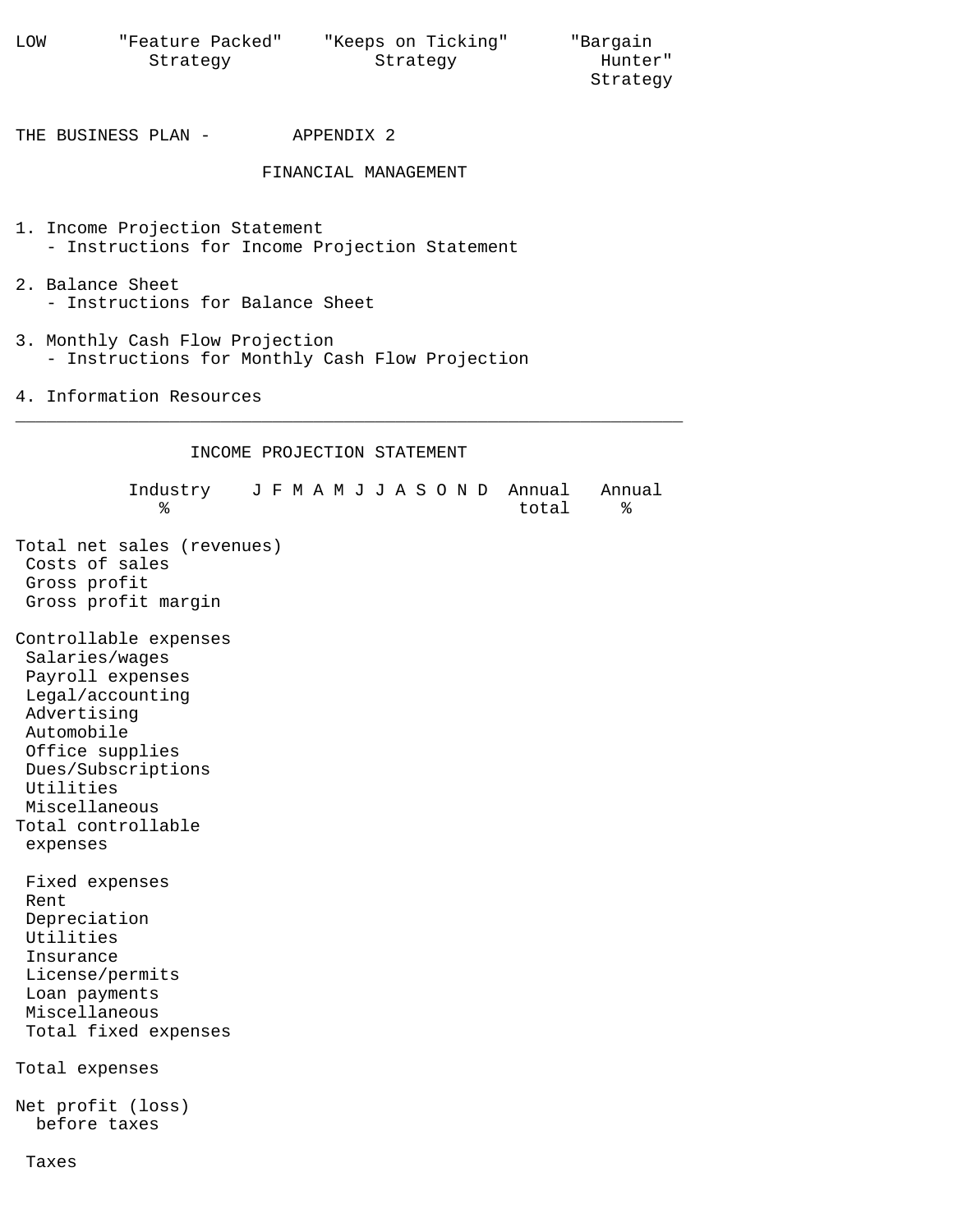| LOW | "Feature Packed" | "Keeps on Ticking" | "Barqain |
|-----|------------------|--------------------|----------|
|     | Strategy         | Strategy           | Hunter"  |
|     |                  |                    | Strategy |

THE BUSINESS PLAN - APPENDIX 2

# FINANCIAL MANAGEMENT

- 1. Income Projection Statement - Instructions for Income Projection Statement
- 2. Balance Sheet - Instructions for Balance Sheet
- 3. Monthly Cash Flow Projection - Instructions for Monthly Cash Flow Projection
- 4. Information Resources

# INCOME PROJECTION STATEMENT

\_\_\_\_\_\_\_\_\_\_\_\_\_\_\_\_\_\_\_\_\_\_\_\_\_\_\_\_\_\_\_\_\_\_\_\_\_\_\_\_\_\_\_\_\_\_\_\_\_\_\_\_\_\_\_\_\_\_\_\_\_\_\_\_\_

 Industry J F M A M J J A S O N D Annual Annual % total % Total net sales (revenues) Costs of sales Gross profit Gross profit margin Controllable expenses Salaries/wages Payroll expenses Legal/accounting Advertising Automobile Office supplies Dues/Subscriptions Utilities Miscellaneous Total controllable expenses Fixed expenses Rent Depreciation Utilities Insurance License/permits Loan payments Miscellaneous Total fixed expenses Total expenses Net profit (loss) before taxes Taxes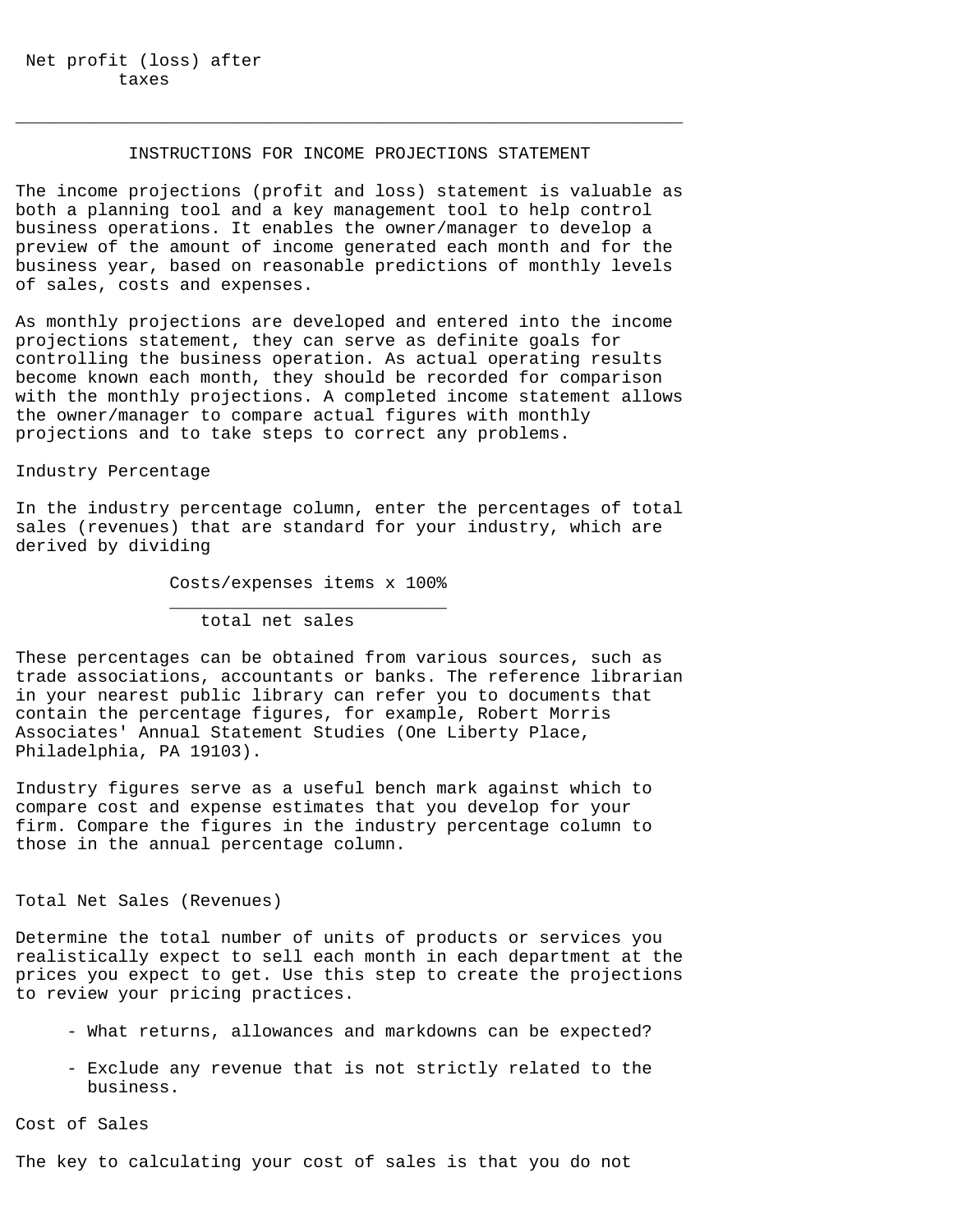# INSTRUCTIONS FOR INCOME PROJECTIONS STATEMENT

\_\_\_\_\_\_\_\_\_\_\_\_\_\_\_\_\_\_\_\_\_\_\_\_\_\_\_\_\_\_\_\_\_\_\_\_\_\_\_\_\_\_\_\_\_\_\_\_\_\_\_\_\_\_\_\_\_\_\_\_\_\_\_\_\_

The income projections (profit and loss) statement is valuable as both a planning tool and a key management tool to help control business operations. It enables the owner/manager to develop a preview of the amount of income generated each month and for the business year, based on reasonable predictions of monthly levels of sales, costs and expenses.

As monthly projections are developed and entered into the income projections statement, they can serve as definite goals for controlling the business operation. As actual operating results become known each month, they should be recorded for comparison with the monthly projections. A completed income statement allows the owner/manager to compare actual figures with monthly projections and to take steps to correct any problems.

#### Industry Percentage

In the industry percentage column, enter the percentages of total sales (revenues) that are standard for your industry, which are derived by dividing

Costs/expenses items x 100%

total net sales

 $\frac{1}{\sqrt{2\pi}}$  ,  $\frac{1}{\sqrt{2\pi}}$  ,  $\frac{1}{\sqrt{2\pi}}$  ,  $\frac{1}{\sqrt{2\pi}}$  ,  $\frac{1}{\sqrt{2\pi}}$  ,  $\frac{1}{\sqrt{2\pi}}$  ,  $\frac{1}{\sqrt{2\pi}}$  ,  $\frac{1}{\sqrt{2\pi}}$  ,  $\frac{1}{\sqrt{2\pi}}$  ,  $\frac{1}{\sqrt{2\pi}}$  ,  $\frac{1}{\sqrt{2\pi}}$  ,  $\frac{1}{\sqrt{2\pi}}$  ,  $\frac{1}{\sqrt{2\pi}}$  ,

These percentages can be obtained from various sources, such as trade associations, accountants or banks. The reference librarian in your nearest public library can refer you to documents that contain the percentage figures, for example, Robert Morris Associates' Annual Statement Studies (One Liberty Place, Philadelphia, PA 19103).

Industry figures serve as a useful bench mark against which to compare cost and expense estimates that you develop for your firm. Compare the figures in the industry percentage column to those in the annual percentage column.

Total Net Sales (Revenues)

Determine the total number of units of products or services you realistically expect to sell each month in each department at the prices you expect to get. Use this step to create the projections to review your pricing practices.

- What returns, allowances and markdowns can be expected?
- Exclude any revenue that is not strictly related to the business.

Cost of Sales

The key to calculating your cost of sales is that you do not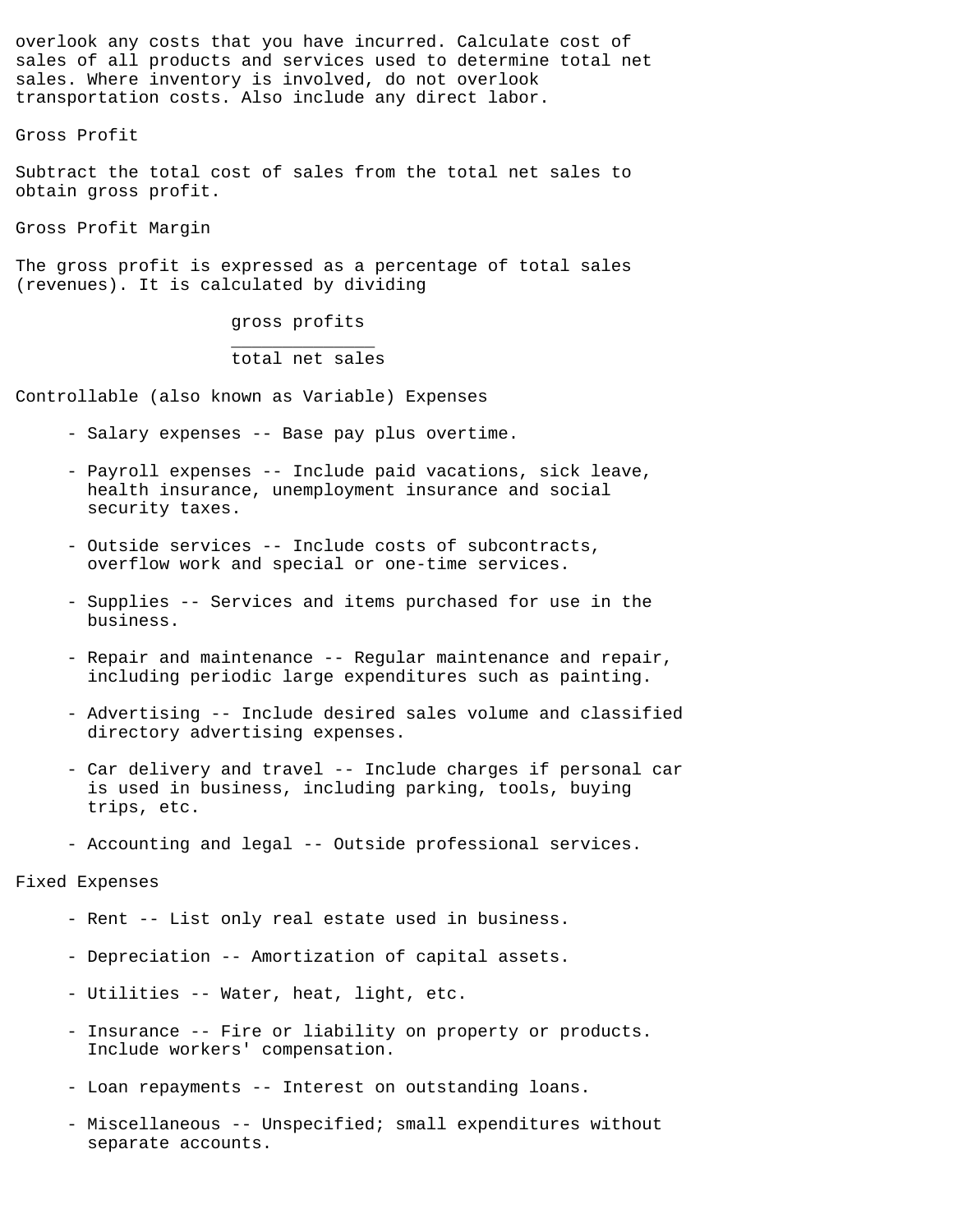overlook any costs that you have incurred. Calculate cost of sales of all products and services used to determine total net sales. Where inventory is involved, do not overlook transportation costs. Also include any direct labor.

Gross Profit

Subtract the total cost of sales from the total net sales to obtain gross profit.

Gross Profit Margin

The gross profit is expressed as a percentage of total sales (revenues). It is calculated by dividing

gross profits

total net sales

Controllable (also known as Variable) Expenses

 $\frac{1}{\sqrt{2\pi}}$  ,  $\frac{1}{\sqrt{2\pi}}$  ,  $\frac{1}{\sqrt{2\pi}}$  ,  $\frac{1}{\sqrt{2\pi}}$  ,  $\frac{1}{\sqrt{2\pi}}$  ,  $\frac{1}{\sqrt{2\pi}}$  ,  $\frac{1}{\sqrt{2\pi}}$  ,  $\frac{1}{\sqrt{2\pi}}$  ,  $\frac{1}{\sqrt{2\pi}}$  ,  $\frac{1}{\sqrt{2\pi}}$  ,  $\frac{1}{\sqrt{2\pi}}$  ,  $\frac{1}{\sqrt{2\pi}}$  ,  $\frac{1}{\sqrt{2\pi}}$  ,

- Salary expenses -- Base pay plus overtime.
- Payroll expenses -- Include paid vacations, sick leave, health insurance, unemployment insurance and social security taxes.
- Outside services -- Include costs of subcontracts, overflow work and special or one-time services.
- Supplies -- Services and items purchased for use in the business.
- Repair and maintenance -- Regular maintenance and repair, including periodic large expenditures such as painting.
- Advertising -- Include desired sales volume and classified directory advertising expenses.
- Car delivery and travel -- Include charges if personal car is used in business, including parking, tools, buying trips, etc.
- Accounting and legal -- Outside professional services.

Fixed Expenses

- Rent -- List only real estate used in business.
- Depreciation -- Amortization of capital assets.
- Utilities -- Water, heat, light, etc.
- Insurance -- Fire or liability on property or products. Include workers' compensation.
- Loan repayments -- Interest on outstanding loans.
- Miscellaneous -- Unspecified; small expenditures without separate accounts.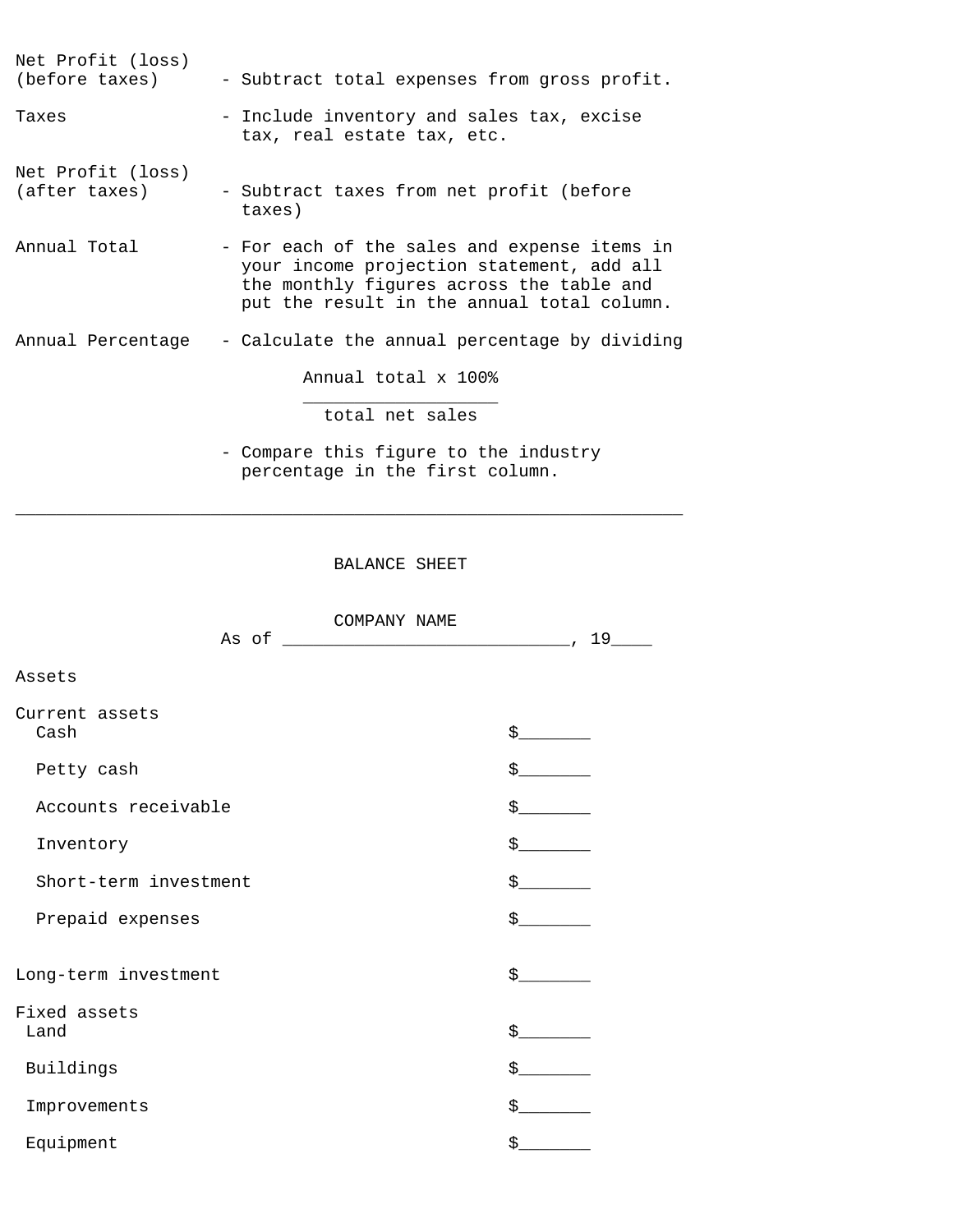| Net Profit (loss)<br>(before taxes) | - Subtract total expenses from gross profit.                                                                                                                                        |
|-------------------------------------|-------------------------------------------------------------------------------------------------------------------------------------------------------------------------------------|
| Taxes                               | - Include inventory and sales tax, excise<br>tax, real estate tax, etc.                                                                                                             |
| Net Profit (loss)<br>(after taxes)  | - Subtract taxes from net profit (before<br>taxes)                                                                                                                                  |
| Annual Total                        | - For each of the sales and expense items in<br>your income projection statement, add all<br>the monthly figures across the table and<br>put the result in the annual total column. |
|                                     | Annual Percentage - Calculate the annual percentage by dividing                                                                                                                     |
|                                     | Annual total x 100%                                                                                                                                                                 |
|                                     | total net sales                                                                                                                                                                     |
|                                     | - Compare this figure to the industry<br>percentage in the first column.                                                                                                            |

\_\_\_\_\_\_\_\_\_\_\_\_\_\_\_\_\_\_\_\_\_\_\_\_\_\_\_\_\_\_\_\_\_\_\_\_\_\_\_\_\_\_\_\_\_\_\_\_\_\_\_\_\_\_\_\_\_\_\_\_\_\_\_\_\_

BALANCE SHEET

|                        | COMPANY NAME |               |  |
|------------------------|--------------|---------------|--|
|                        |              |               |  |
| Assets                 |              |               |  |
| Current assets<br>Cash |              | $\frac{1}{2}$ |  |
| Petty cash             |              | $\mathsf S$   |  |
| Accounts receivable    |              | \$_           |  |
| Inventory              |              | $\frac{1}{2}$ |  |
| Short-term investment  |              | $\frac{1}{2}$ |  |
| Prepaid expenses       |              | $\sim$        |  |
| Long-term investment   |              | $\frac{1}{2}$ |  |
| Fixed assets<br>Land   |              | $\ddot{s}$    |  |
| Buildings              |              | $\frac{1}{2}$ |  |
| Improvements           |              | $\sim$        |  |
| Equipment              |              | $\frac{1}{2}$ |  |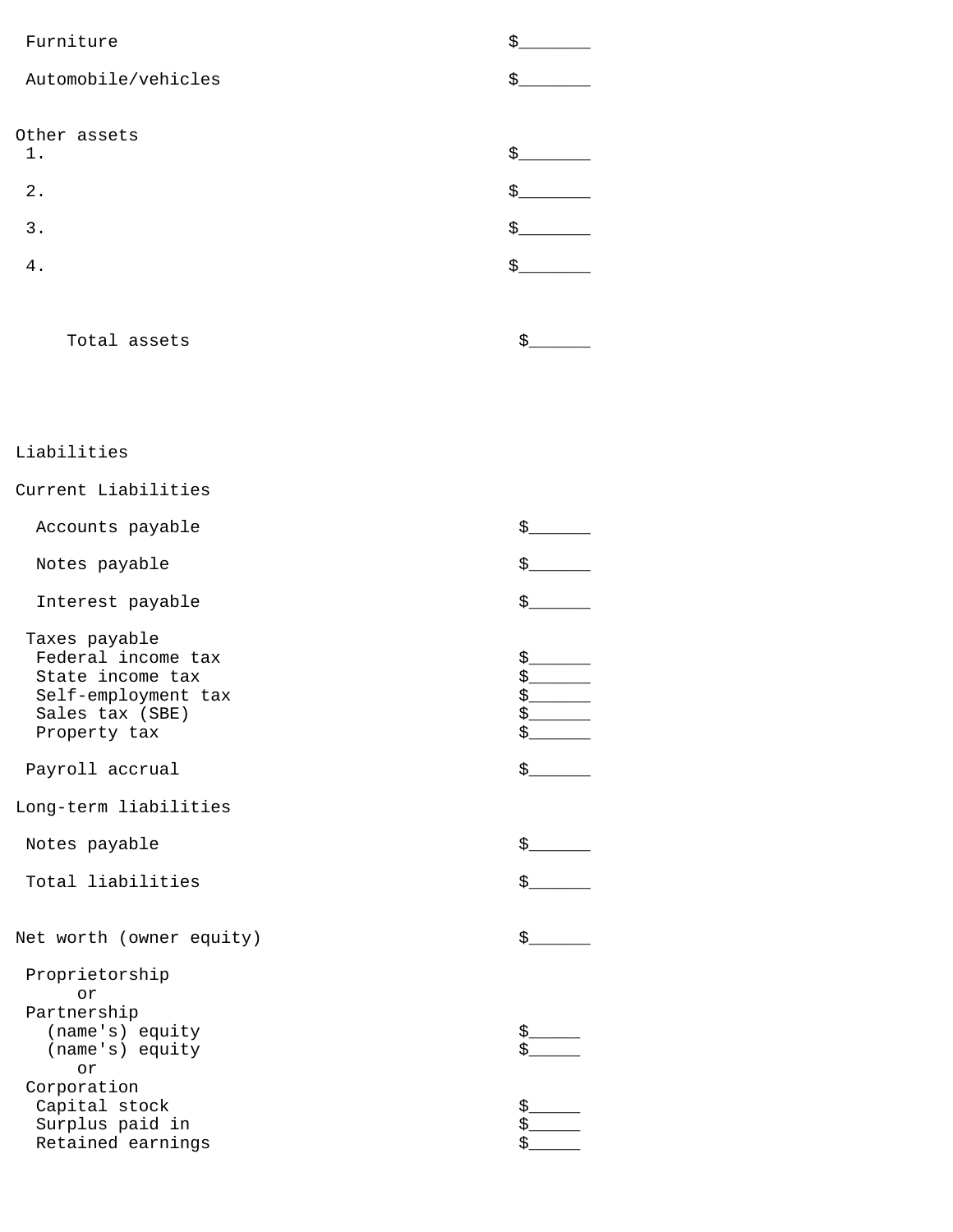| Furniture           | Ś  |
|---------------------|----|
| Automobile/vehicles | \$ |
|                     |    |
| Other assets<br>1.  | \$ |
| $2$ .               | \$ |
| 3.                  | \$ |
| 4.                  | \$ |
|                     |    |
|                     |    |

Total assets  $\zeta$ 

# Liabilities

| Current Liabilities                                                                                               |                                                              |
|-------------------------------------------------------------------------------------------------------------------|--------------------------------------------------------------|
| Accounts payable                                                                                                  | $\frac{1}{2}$                                                |
| Notes payable                                                                                                     | $\ddot{s}$                                                   |
| Interest payable                                                                                                  | $\ddot{s}$                                                   |
| Taxes payable<br>Federal income tax<br>State income tax<br>Self-employment tax<br>Sales tax (SBE)<br>Property tax | \$_<br>$\frac{1}{2}$<br>$\frac{1}{2}$<br>$\ddot{\mathbf{S}}$ |
| Payroll accrual                                                                                                   | \$_                                                          |
| Long-term liabilities                                                                                             |                                                              |
| Notes payable                                                                                                     | $\ddot{s}$                                                   |
| Total liabilities                                                                                                 | \$                                                           |
| Net worth (owner equity)                                                                                          | \$                                                           |
| Proprietorship<br>or<br>Partnership<br>(name's) equity                                                            | \$______                                                     |
| (name's) equity<br>or                                                                                             | $\ddot{s}$                                                   |
| Corporation<br>Capital stock<br>Surplus paid in<br>Retained earnings                                              | \$<br>\$_<br>\$                                              |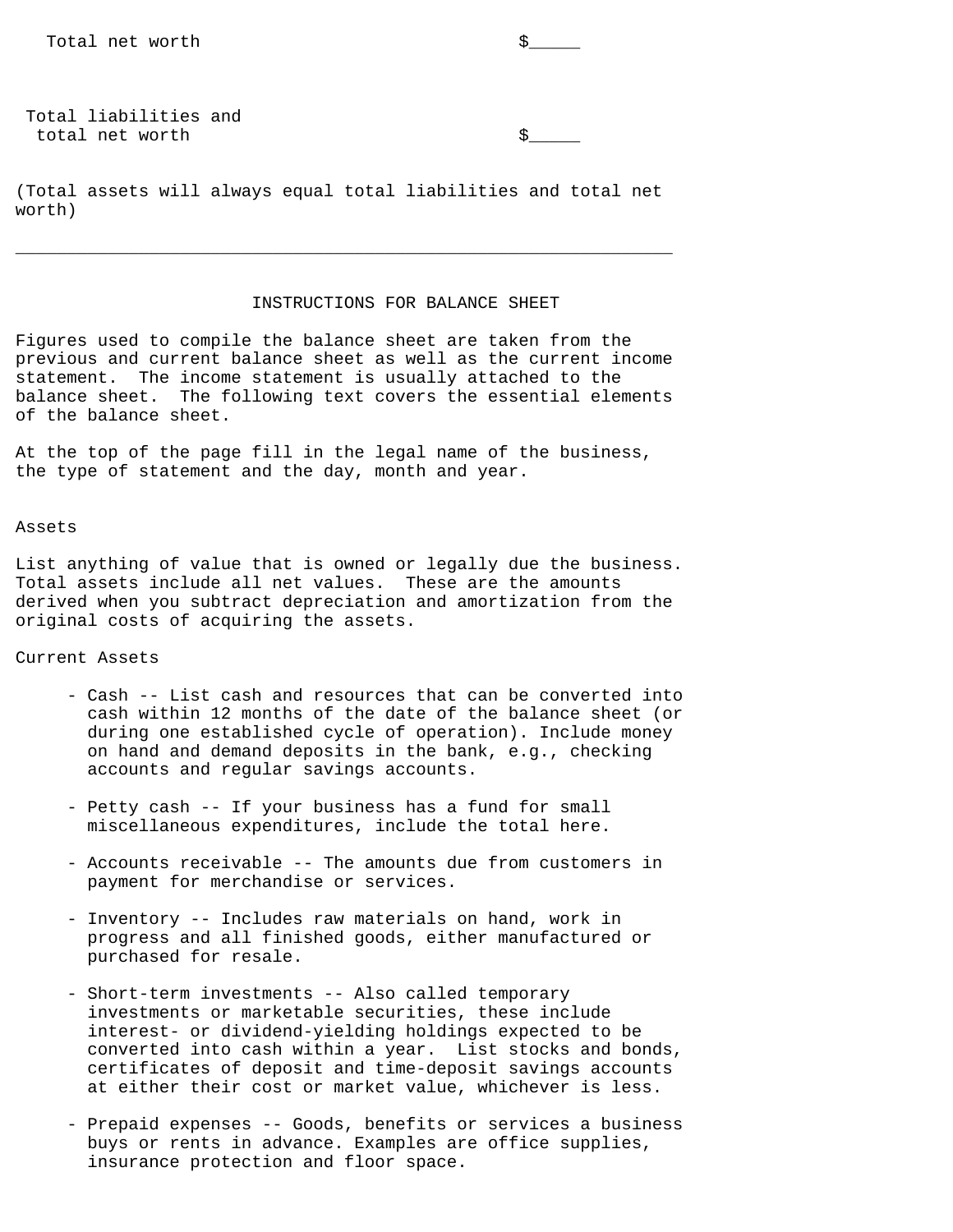Total liabilities and total net worth  $\zeta$ 

(Total assets will always equal total liabilities and total net worth)

\_\_\_\_\_\_\_\_\_\_\_\_\_\_\_\_\_\_\_\_\_\_\_\_\_\_\_\_\_\_\_\_\_\_\_\_\_\_\_\_\_\_\_\_\_\_\_\_\_\_\_\_\_\_\_\_\_\_\_\_\_\_\_\_

#### INSTRUCTIONS FOR BALANCE SHEET

Figures used to compile the balance sheet are taken from the previous and current balance sheet as well as the current income statement. The income statement is usually attached to the balance sheet. The following text covers the essential elements of the balance sheet.

At the top of the page fill in the legal name of the business, the type of statement and the day, month and year.

#### Assets

List anything of value that is owned or legally due the business. Total assets include all net values. These are the amounts derived when you subtract depreciation and amortization from the original costs of acquiring the assets.

Current Assets

- Cash -- List cash and resources that can be converted into cash within 12 months of the date of the balance sheet (or during one established cycle of operation). Include money on hand and demand deposits in the bank, e.g., checking accounts and regular savings accounts.
- Petty cash -- If your business has a fund for small miscellaneous expenditures, include the total here.
- Accounts receivable -- The amounts due from customers in payment for merchandise or services.
- Inventory -- Includes raw materials on hand, work in progress and all finished goods, either manufactured or purchased for resale.
- Short-term investments -- Also called temporary investments or marketable securities, these include interest- or dividend-yielding holdings expected to be converted into cash within a year. List stocks and bonds, certificates of deposit and time-deposit savings accounts at either their cost or market value, whichever is less.
- Prepaid expenses -- Goods, benefits or services a business buys or rents in advance. Examples are office supplies, insurance protection and floor space.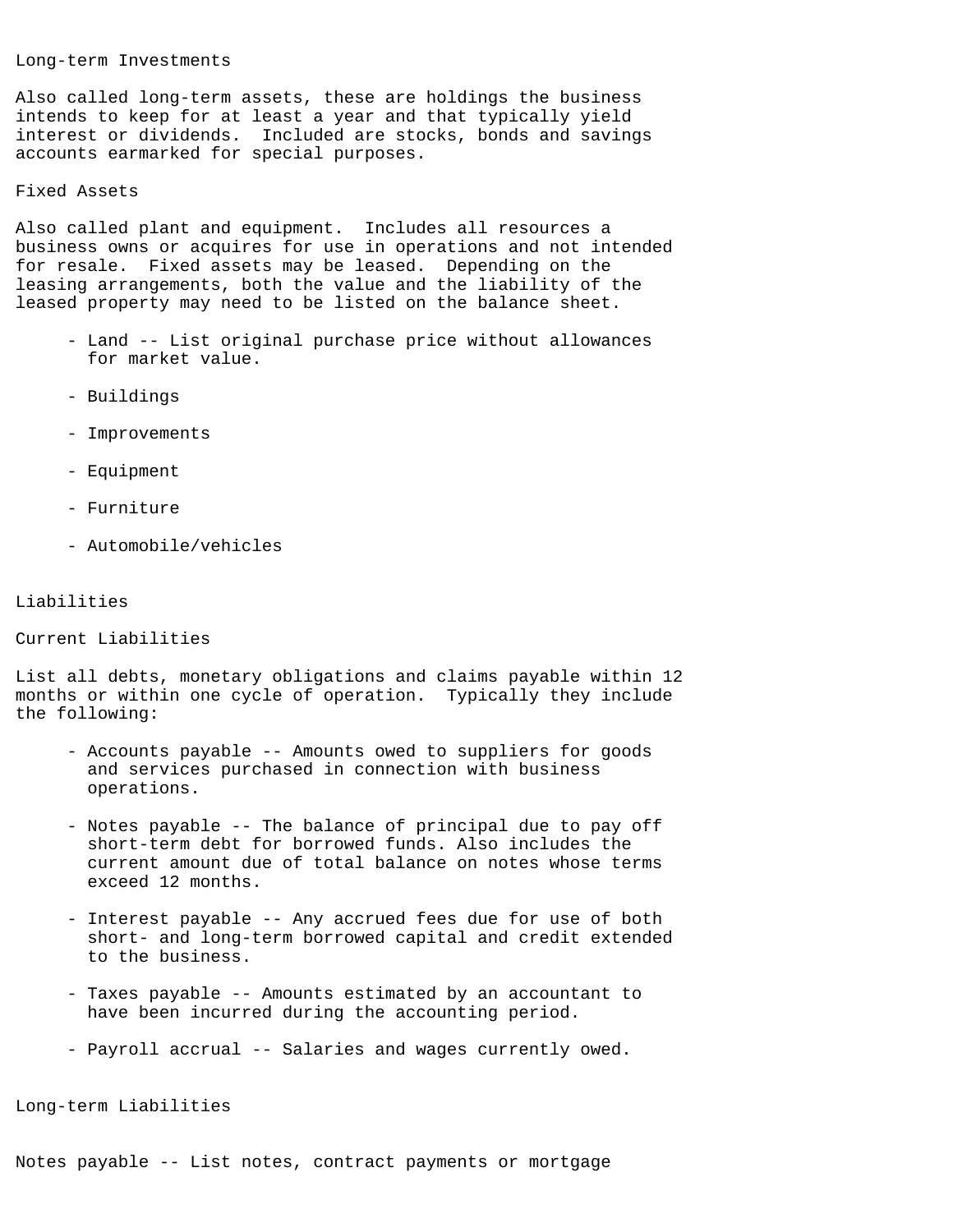Long-term Investments

Also called long-term assets, these are holdings the business intends to keep for at least a year and that typically yield interest or dividends. Included are stocks, bonds and savings accounts earmarked for special purposes.

Fixed Assets

Also called plant and equipment. Includes all resources a business owns or acquires for use in operations and not intended for resale. Fixed assets may be leased. Depending on the leasing arrangements, both the value and the liability of the leased property may need to be listed on the balance sheet.

- Land -- List original purchase price without allowances for market value.
- Buildings
- Improvements
- Equipment
- Furniture
- Automobile/vehicles

#### Liabilities

Current Liabilities

List all debts, monetary obligations and claims payable within 12 months or within one cycle of operation. Typically they include the following:

- Accounts payable -- Amounts owed to suppliers for goods and services purchased in connection with business operations.
- Notes payable -- The balance of principal due to pay off short-term debt for borrowed funds. Also includes the current amount due of total balance on notes whose terms exceed 12 months.
- Interest payable -- Any accrued fees due for use of both short- and long-term borrowed capital and credit extended to the business.
- Taxes payable -- Amounts estimated by an accountant to have been incurred during the accounting period.
- Payroll accrual -- Salaries and wages currently owed.

Long-term Liabilities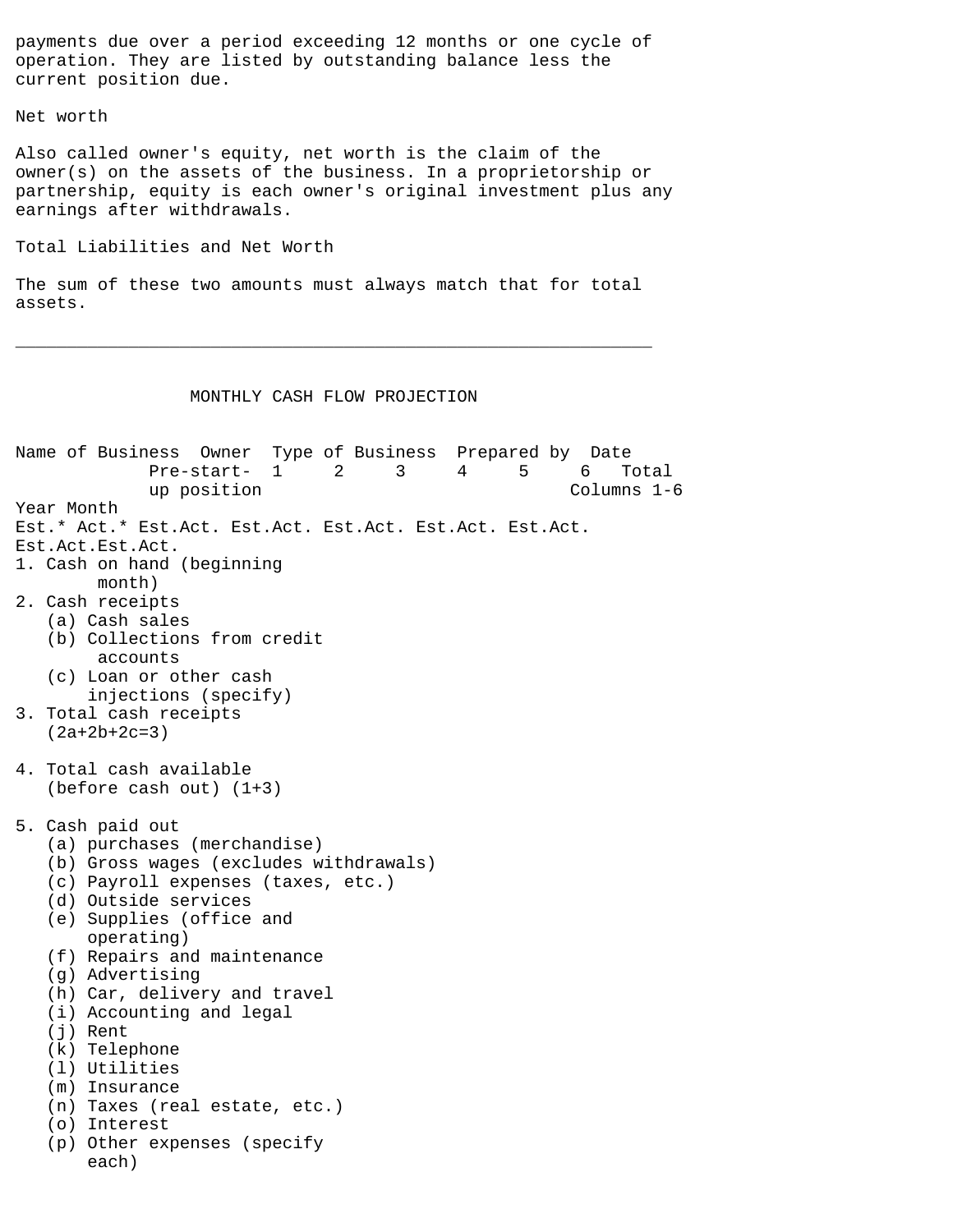payments due over a period exceeding 12 months or one cycle of operation. They are listed by outstanding balance less the current position due. Net worth Also called owner's equity, net worth is the claim of the owner(s) on the assets of the business. In a proprietorship or partnership, equity is each owner's original investment plus any earnings after withdrawals. Total Liabilities and Net Worth The sum of these two amounts must always match that for total assets. \_\_\_\_\_\_\_\_\_\_\_\_\_\_\_\_\_\_\_\_\_\_\_\_\_\_\_\_\_\_\_\_\_\_\_\_\_\_\_\_\_\_\_\_\_\_\_\_\_\_\_\_\_\_\_\_\_\_\_\_\_\_ MONTHLY CASH FLOW PROJECTION Name of Business Owner Type of Business Prepared by Date Pre-start- 1 2 3 4 5 6 Total up position Columns 1-6 Year Month Est.\* Act.\* Est.Act. Est.Act. Est.Act. Est.Act. Est.Act. Est.Act.Est.Act. 1. Cash on hand (beginning month) 2. Cash receipts (a) Cash sales (b) Collections from credit accounts (c) Loan or other cash injections (specify) 3. Total cash receipts (2a+2b+2c=3) 4. Total cash available (before cash out) (1+3) 5. Cash paid out (a) purchases (merchandise) (b) Gross wages (excludes withdrawals) (c) Payroll expenses (taxes, etc.) (d) Outside services (e) Supplies (office and operating) (f) Repairs and maintenance (g) Advertising (h) Car, delivery and travel (i) Accounting and legal

- (j) Rent
- (k) Telephone
- (l) Utilities
- (m) Insurance
- (n) Taxes (real estate, etc.)
- (o) Interest
- (p) Other expenses (specify each)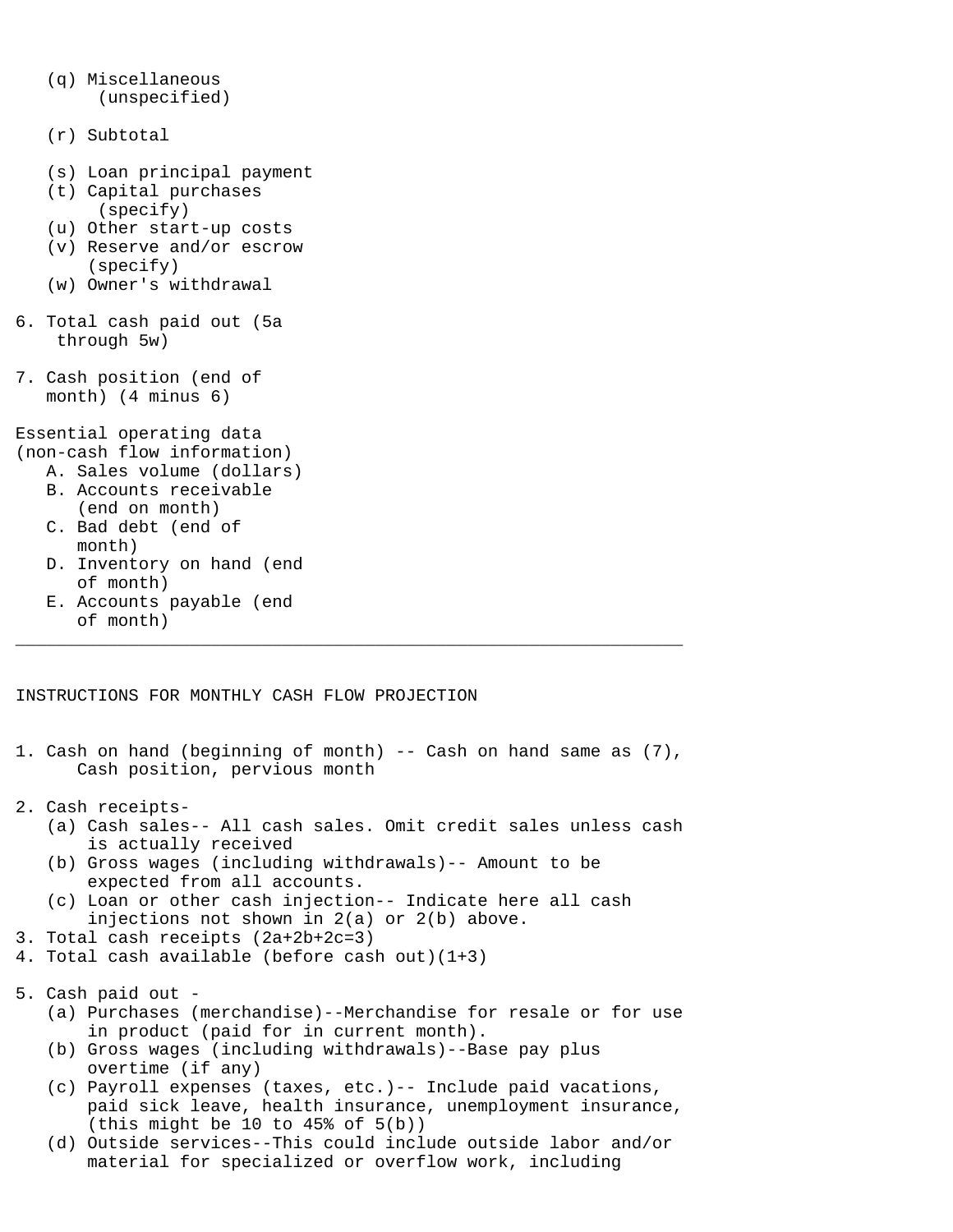```
 (q) Miscellaneous
(unspecified)
```
- (r) Subtotal
- (s) Loan principal payment
- (t) Capital purchases (specify)
- (u) Other start-up costs
- (v) Reserve and/or escrow
	- (specify)
- (w) Owner's withdrawal
- 6. Total cash paid out (5a through 5w)
- 7. Cash position (end of month) (4 minus 6)

Essential operating data (non-cash flow information)

- A. Sales volume (dollars)
- B. Accounts receivable
- (end on month)
- C. Bad debt (end of month)
- D. Inventory on hand (end of month)
- E. Accounts payable (end of month)

INSTRUCTIONS FOR MONTHLY CASH FLOW PROJECTION

1. Cash on hand (beginning of month) -- Cash on hand same as (7), Cash position, pervious month

\_\_\_\_\_\_\_\_\_\_\_\_\_\_\_\_\_\_\_\_\_\_\_\_\_\_\_\_\_\_\_\_\_\_\_\_\_\_\_\_\_\_\_\_\_\_\_\_\_\_\_\_\_\_\_\_\_\_\_\_\_\_\_\_\_

- 2. Cash receipts-
	- (a) Cash sales-- All cash sales. Omit credit sales unless cash is actually received
	- (b) Gross wages (including withdrawals)-- Amount to be expected from all accounts.
	- (c) Loan or other cash injection-- Indicate here all cash injections not shown in 2(a) or 2(b) above.
- 3. Total cash receipts (2a+2b+2c=3)
- 4. Total cash available (before cash out)(1+3)
- 5. Cash paid out
	- (a) Purchases (merchandise)--Merchandise for resale or for use in product (paid for in current month).
	- (b) Gross wages (including withdrawals)--Base pay plus overtime (if any)
	- (c) Payroll expenses (taxes, etc.)-- Include paid vacations, paid sick leave, health insurance, unemployment insurance, (this might be 10 to 45% of 5(b))
	- (d) Outside services--This could include outside labor and/or material for specialized or overflow work, including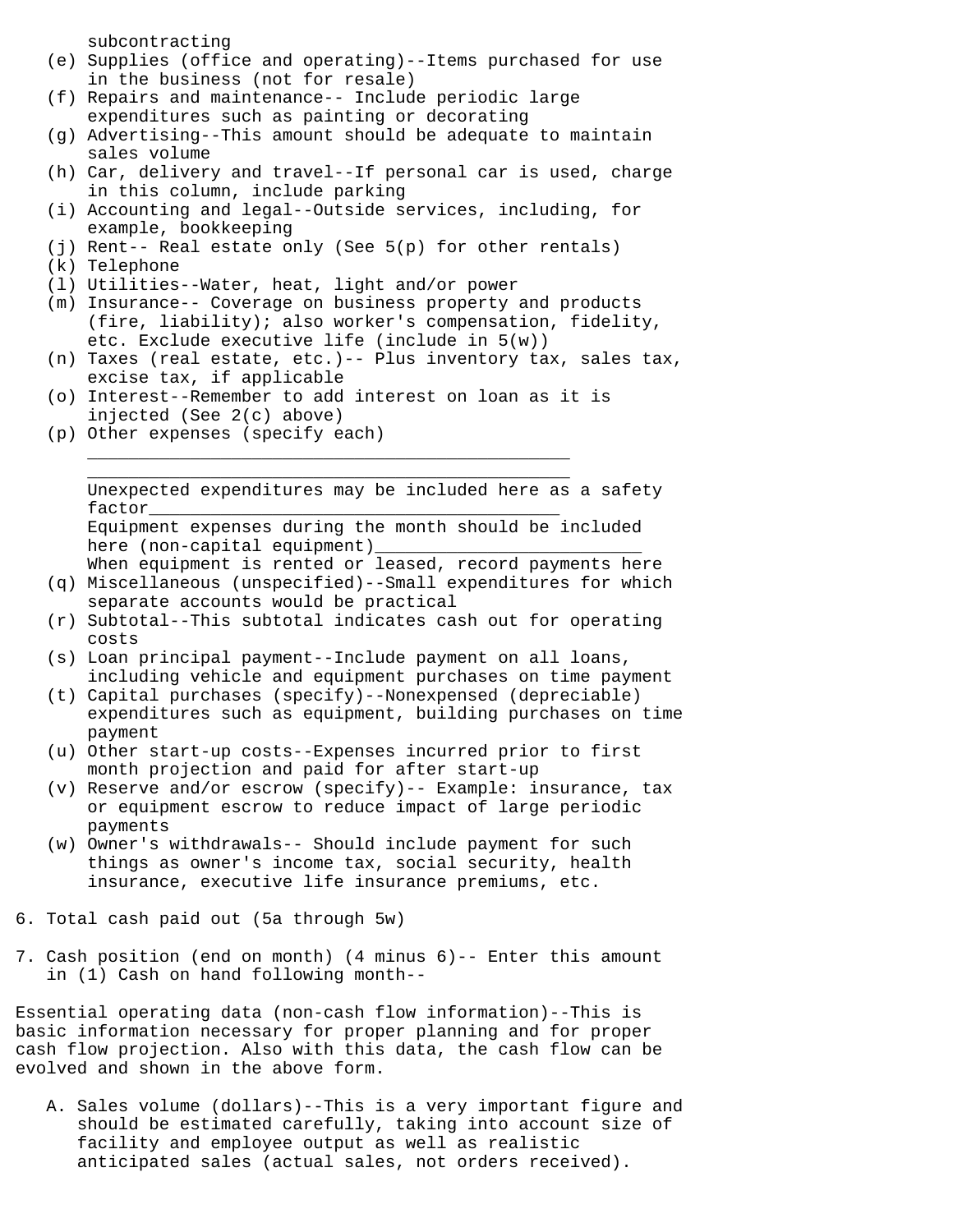subcontracting

- (e) Supplies (office and operating)--Items purchased for use in the business (not for resale)
- (f) Repairs and maintenance-- Include periodic large expenditures such as painting or decorating
- (g) Advertising--This amount should be adequate to maintain sales volume
- (h) Car, delivery and travel--If personal car is used, charge in this column, include parking
- (i) Accounting and legal--Outside services, including, for example, bookkeeping
- (j) Rent-- Real estate only (See 5(p) for other rentals)
- (k) Telephone
- (l) Utilities--Water, heat, light and/or power

 \_\_\_\_\_\_\_\_\_\_\_\_\_\_\_\_\_\_\_\_\_\_\_\_\_\_\_\_\_\_\_\_\_\_\_\_\_\_\_\_\_\_\_\_\_\_\_ \_\_\_\_\_\_\_\_\_\_\_\_\_\_\_\_\_\_\_\_\_\_\_\_\_\_\_\_\_\_\_\_\_\_\_\_\_\_\_\_\_\_\_\_\_\_\_

- (m) Insurance-- Coverage on business property and products (fire, liability); also worker's compensation, fidelity, etc. Exclude executive life (include in 5(w))
- (n) Taxes (real estate, etc.)-- Plus inventory tax, sales tax, excise tax, if applicable
- (o) Interest--Remember to add interest on loan as it is injected (See 2(c) above)
- (p) Other expenses (specify each)

 Unexpected expenditures may be included here as a safety factor\_\_\_\_\_\_\_\_\_\_\_\_\_\_\_\_\_\_\_\_\_\_\_\_\_\_\_\_\_\_\_\_\_\_\_\_\_\_\_\_

 Equipment expenses during the month should be included here (non-capital equipment)

- When equipment is rented or leased, record payments here (q) Miscellaneous (unspecified)--Small expenditures for which
- separate accounts would be practical (r) Subtotal--This subtotal indicates cash out for operating
- costs
- (s) Loan principal payment--Include payment on all loans, including vehicle and equipment purchases on time payment
- (t) Capital purchases (specify)--Nonexpensed (depreciable) expenditures such as equipment, building purchases on time payment
- (u) Other start-up costs--Expenses incurred prior to first month projection and paid for after start-up
- (v) Reserve and/or escrow (specify)-- Example: insurance, tax or equipment escrow to reduce impact of large periodic payments
- (w) Owner's withdrawals-- Should include payment for such things as owner's income tax, social security, health insurance, executive life insurance premiums, etc.
- 6. Total cash paid out (5a through 5w)
- 7. Cash position (end on month) (4 minus 6)-- Enter this amount in (1) Cash on hand following month--

Essential operating data (non-cash flow information)--This is basic information necessary for proper planning and for proper cash flow projection. Also with this data, the cash flow can be evolved and shown in the above form.

 A. Sales volume (dollars)--This is a very important figure and should be estimated carefully, taking into account size of facility and employee output as well as realistic anticipated sales (actual sales, not orders received).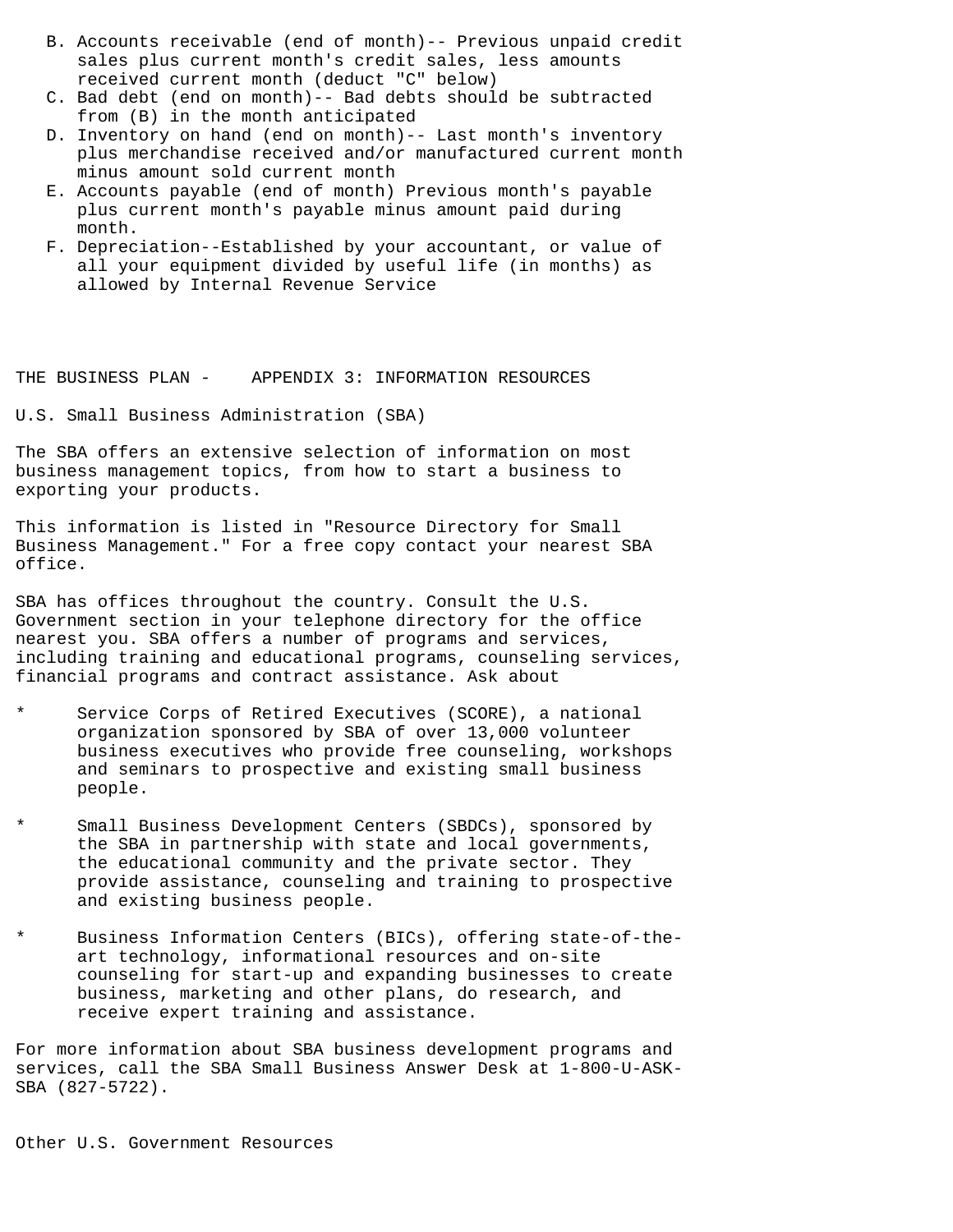- B. Accounts receivable (end of month)-- Previous unpaid credit sales plus current month's credit sales, less amounts received current month (deduct "C" below)
- C. Bad debt (end on month)-- Bad debts should be subtracted from (B) in the month anticipated
- D. Inventory on hand (end on month)-- Last month's inventory plus merchandise received and/or manufactured current month minus amount sold current month
- E. Accounts payable (end of month) Previous month's payable plus current month's payable minus amount paid during month.
- F. Depreciation--Established by your accountant, or value of all your equipment divided by useful life (in months) as allowed by Internal Revenue Service

THE BUSINESS PLAN - APPENDIX 3: INFORMATION RESOURCES

U.S. Small Business Administration (SBA)

The SBA offers an extensive selection of information on most business management topics, from how to start a business to exporting your products.

This information is listed in "Resource Directory for Small Business Management." For a free copy contact your nearest SBA office.

SBA has offices throughout the country. Consult the U.S. Government section in your telephone directory for the office nearest you. SBA offers a number of programs and services, including training and educational programs, counseling services, financial programs and contract assistance. Ask about

- Service Corps of Retired Executives (SCORE), a national organization sponsored by SBA of over 13,000 volunteer business executives who provide free counseling, workshops and seminars to prospective and existing small business people.
- Small Business Development Centers (SBDCs), sponsored by the SBA in partnership with state and local governments, the educational community and the private sector. They provide assistance, counseling and training to prospective and existing business people.
- Business Information Centers (BICs), offering state-of-the art technology, informational resources and on-site counseling for start-up and expanding businesses to create business, marketing and other plans, do research, and receive expert training and assistance.

For more information about SBA business development programs and services, call the SBA Small Business Answer Desk at 1-800-U-ASK-SBA (827-5722).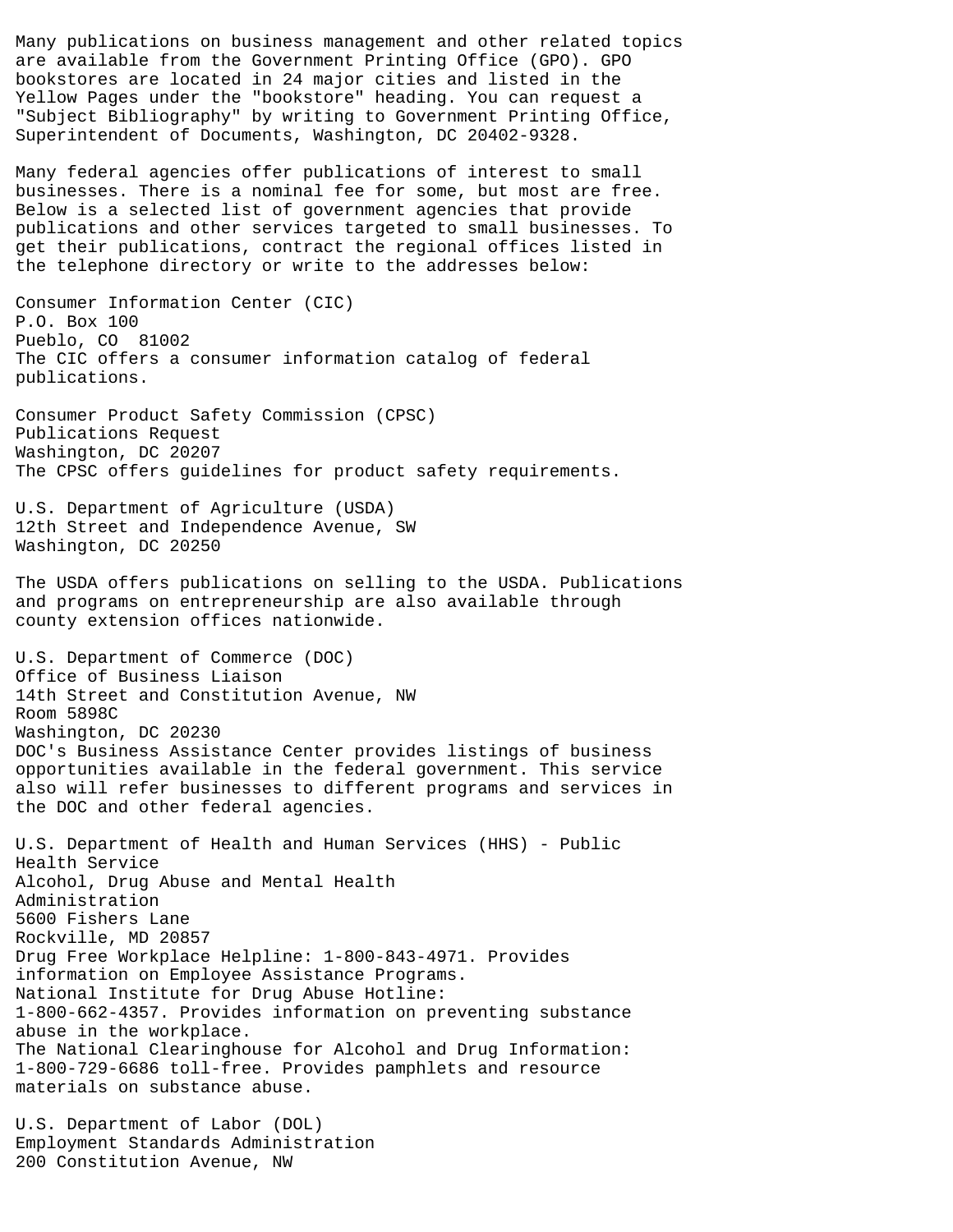Many publications on business management and other related topics are available from the Government Printing Office (GPO). GPO bookstores are located in 24 major cities and listed in the Yellow Pages under the "bookstore" heading. You can request a "Subject Bibliography" by writing to Government Printing Office, Superintendent of Documents, Washington, DC 20402-9328.

Many federal agencies offer publications of interest to small businesses. There is a nominal fee for some, but most are free. Below is a selected list of government agencies that provide publications and other services targeted to small businesses. To get their publications, contract the regional offices listed in the telephone directory or write to the addresses below:

Consumer Information Center (CIC) P.O. Box 100 Pueblo, CO 81002 The CIC offers a consumer information catalog of federal publications.

Consumer Product Safety Commission (CPSC) Publications Request Washington, DC 20207 The CPSC offers guidelines for product safety requirements.

U.S. Department of Agriculture (USDA) 12th Street and Independence Avenue, SW Washington, DC 20250

The USDA offers publications on selling to the USDA. Publications and programs on entrepreneurship are also available through county extension offices nationwide.

U.S. Department of Commerce (DOC) Office of Business Liaison 14th Street and Constitution Avenue, NW Room 5898C Washington, DC 20230 DOC's Business Assistance Center provides listings of business opportunities available in the federal government. This service also will refer businesses to different programs and services in the DOC and other federal agencies.

U.S. Department of Health and Human Services (HHS) - Public Health Service Alcohol, Drug Abuse and Mental Health Administration 5600 Fishers Lane Rockville, MD 20857 Drug Free Workplace Helpline: 1-800-843-4971. Provides information on Employee Assistance Programs. National Institute for Drug Abuse Hotline: 1-800-662-4357. Provides information on preventing substance abuse in the workplace. The National Clearinghouse for Alcohol and Drug Information: 1-800-729-6686 toll-free. Provides pamphlets and resource materials on substance abuse.

U.S. Department of Labor (DOL) Employment Standards Administration 200 Constitution Avenue, NW